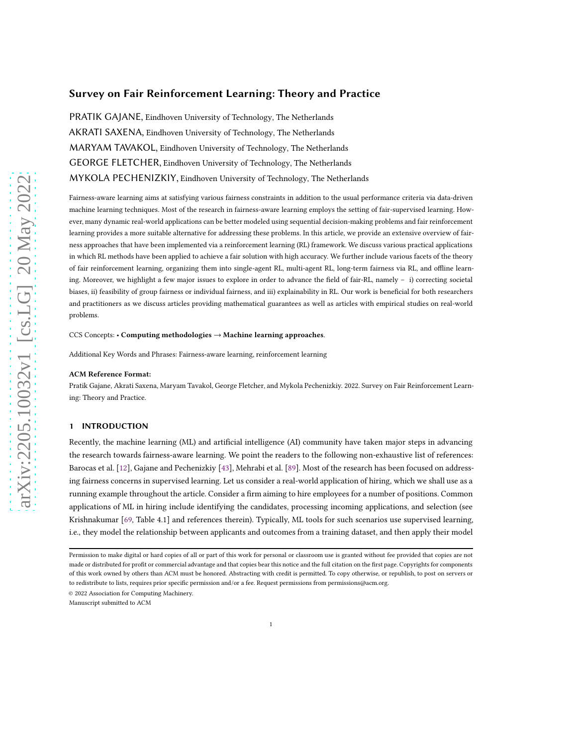# Survey on Fair Reinforcement Learning: Theory and Practice

PRATIK GAJANE, Eindhoven University of Technology, The Netherlands AKRATI SAXENA, Eindhoven University of Technology, The Netherlands MARYAM TAVAKOL, Eindhoven University of Technology, The Netherlands GEORGE FLETCHER, Eindhoven University of Technology, The Netherlands MYKOLA PECHENIZKIY, Eindhoven University of Technology, The Netherlands

Fairness-aware learning aims at satisfying various fairness constraints in addition to the usual performance criteria via data-driven machine learning techniques. Most of the research in fairness-aware learning employs the setting of fair-supervised learning. However, many dynamic real-world applications can be better modeled using sequential decision-making problems and fair reinforcement learning provides a more suitable alternative for addressing these problems. In this article, we provide an extensive overview of fairness approaches that have been implemented via a reinforcement learning (RL) framework. We discuss various practical applications in which RL methods have been applied to achieve a fair solution with high accuracy. We further include various facets of the theory of fair reinforcement learning, organizing them into single-agent RL, multi-agent RL, long-term fairness via RL, and offline learning. Moreover, we highlight a few major issues to explore in order to advance the field of fair-RL, namely – i) correcting societal biases, ii) feasibility of group fairness or individual fairness, and iii) explainability in RL. Our work is beneficial for both researchers and practitioners as we discuss articles providing mathematical guarantees as well as articles with empirical studies on real-world problems.

CCS Concepts: • Computing methodologies → Machine learning approaches.

Additional Key Words and Phrases: Fairness-aware learning, reinforcement learning

#### ACM Reference Format:

Pratik Gajane, Akrati Saxena, Maryam Tavakol, George Fletcher, and Mykola Pechenizkiy. 2022. Survey on Fair Reinforcement Learning: Theory and Practice.

# 1 INTRODUCTION

Recently, the machine learning (ML) and artificial intelligence (AI) community have taken major steps in advancing the research towards fairness-aware learning. We point the readers to the following non-exhaustive list of references: Barocas et al. [\[12](#page-15-0)], Gajane and Pechenizkiy [\[43](#page-16-0)], Mehrabi et al. [\[89](#page-18-0)]. Most of the research has been focused on addressing fairness concerns in supervised learning. Let us consider a real-world application of hiring, which we shall use as a running example throughout the article. Consider a firm aiming to hire employees for a number of positions. Common applications of ML in hiring include identifying the candidates, processing incoming applications, and selection (see Krishnakumar [\[69](#page-17-0), Table 4.1] and references therein). Typically, ML tools for such scenarios use supervised learning, i.e., they model the relationship between applicants and outcomes from a training dataset, and then apply their model

© 2022 Association for Computing Machinery.

Manuscript submitted to ACM

Permission to make digital or hard copies of all or part of this work for personal or classroom use is granted without fee provided that copies are not made or distributed for profit or commercial advantage and that copies bear this notice and the full citation on the first page. Copyrights for components of this work owned by others than ACM must be honored. Abstracting with credit is permitted. To copy otherwise, or republish, to post on servers or to redistribute to lists, requires prior specific permission and/or a fee. Request permissions from permissions@acm.org.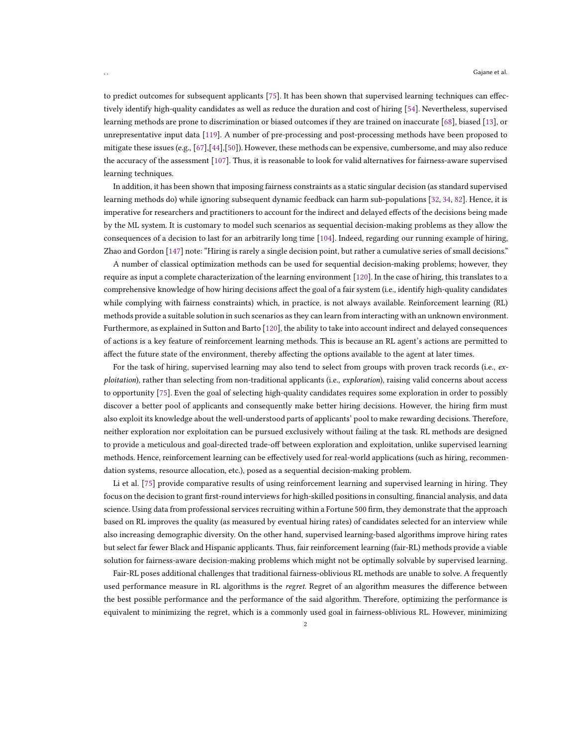to predict outcomes for subsequent applicants [\[75\]](#page-17-1). It has been shown that supervised learning techniques can effectively identify high-quality candidates as well as reduce the duration and cost of hiring [\[54\]](#page-17-2). Nevertheless, supervised learning methods are prone to discrimination or biased outcomes if they are trained on inaccurate [\[68\]](#page-17-3), biased [13], or unrepresentative input data [119]. A number of pre-processing and post-processing methods have been proposed to mitigate these issues (e.g., [\[67\]](#page-17-4),[\[44](#page-16-1)],[\[50\]](#page-17-5)). However, these methods can be expensive, cumbersome, and may also reduce the accuracy of the assessment [\[107\]](#page-19-0). Thus, it is reasonable to look for valid alternatives for fairness-aware supervised learning techniques.

In addition, it has been shown that imposing fairness constraints as a static singular decision (as standard supervised learning methods do) while ignoring subsequent dynamic feedback can harm sub-populations [\[32](#page-16-2), 34, [82\]](#page-18-1). Hence, it is imperative for researchers and practitioners to account for the indirect and delayed effects of the decisions being made by the ML system. It is customary to model such scenarios as sequential decision-making problems as they allow the consequences of a decision to last for an arbitrarily long time [104]. Indeed, regarding our running example of hiring, Zhao and Gordon [147] note: "Hiring is rarely a single decision point, but rather a cumulative series of small decisions."

A number of classical optimization methods can be used for sequential decision-making problems; however, they require as input a complete characterization of the learning environment [\[120\]](#page-19-1). In the case of hiring, this translates to a comprehensive knowledge of how hiring decisions affect the goal of a fair system (i.e., identify high-quality candidates while complying with fairness constraints) which, in practice, is not always available. Reinforcement learning (RL) methods provide a suitable solution in such scenarios as they can learn from interacting with an unknown environment. Furthermore, as explained in Sutton and Barto [\[120](#page-19-1)], the ability to take into account indirect and delayed consequences of actions is a key feature of reinforcement learning methods. This is because an RL agent's actions are permitted to affect the future state of the environment, thereby affecting the options available to the agent at later times.

For the task of hiring, supervised learning may also tend to select from groups with proven track records (i.e., exploitation), rather than selecting from non-traditional applicants (i.e., *exploration*), raising valid concerns about access to opportunity [\[75\]](#page-17-1). Even the goal of selecting high-quality candidates requires some exploration in order to possibly discover a better pool of applicants and consequently make better hiring decisions. However, the hiring firm must also exploit its knowledge about the well-understood parts of applicants' pool to make rewarding decisions. Therefore, neither exploration nor exploitation can be pursued exclusively without failing at the task. RL methods are designed to provide a meticulous and goal-directed trade-off between exploration and exploitation, unlike supervised learning methods. Hence, reinforcement learning can be effectively used for real-world applications (such as hiring, recommendation systems, resource allocation, etc.), posed as a sequential decision-making problem.

Li et al. [\[75\]](#page-17-1) provide comparative results of using reinforcement learning and supervised learning in hiring. They focus on the decision to grant first-round interviews for high-skilled positions in consulting, financial analysis, and data science. Using data from professional services recruiting within a Fortune 500 firm, they demonstrate that the approach based on RL improves the quality (as measured by eventual hiring rates) of candidates selected for an interview while also increasing demographic diversity. On the other hand, supervised learning-based algorithms improve hiring rates but select far fewer Black and Hispanic applicants. Thus, fair reinforcement learning (fair-RL) methods provide a viable solution for fairness-aware decision-making problems which might not be optimally solvable by supervised learning.

Fair-RL poses additional challenges that traditional fairness-oblivious RL methods are unable to solve. A frequently used performance measure in RL algorithms is the *regret*. Regret of an algorithm measures the difference between the best possible performance and the performance of the said algorithm. Therefore, optimizing the performance is equivalent to minimizing the regret, which is a commonly used goal in fairness-oblivious RL. However, minimizing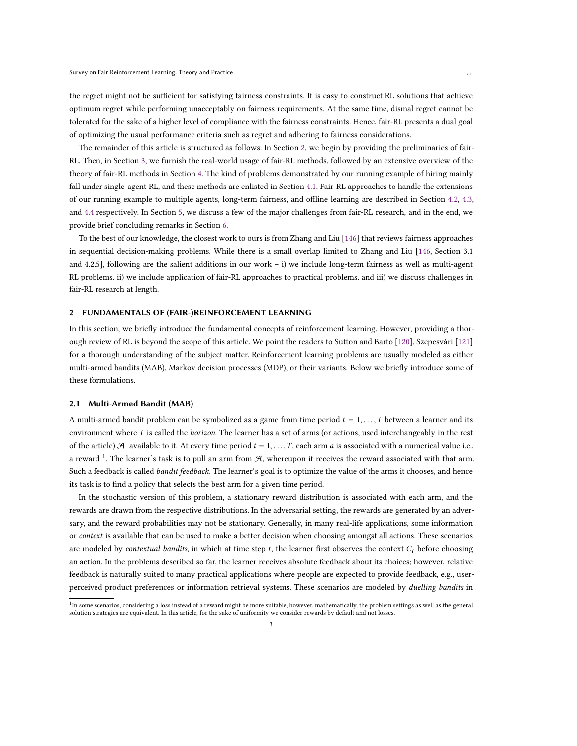the regret might not be sufficient for satisfying fairness constraints. It is easy to construct RL solutions that achieve optimum regret while performing unacceptably on fairness requirements. At the same time, dismal regret cannot be tolerated for the sake of a higher level of compliance with the fairness constraints. Hence, fair-RL presents a dual goal of optimizing the usual performance criteria such as regret and adhering to fairness considerations.

The remainder of this article is structured as follows. In Section [2,](#page-2-0) we begin by providing the preliminaries of fair-RL. Then, in Section [3,](#page-4-0) we furnish the real-world usage of fair-RL methods, followed by an extensive overview of the theory of fair-RL methods in Section [4.](#page-6-0) The kind of problems demonstrated by our running example of hiring mainly fall under single-agent RL, and these methods are enlisted in Section [4.1.](#page-6-1) Fair-RL approaches to handle the extensions of our running example to multiple agents, long-term fairness, and offline learning are described in Section [4.2,](#page-10-0) [4.3,](#page-11-0) and [4.4](#page-12-0) respectively. In Section [5,](#page-13-0) we discuss a few of the major challenges from fair-RL research, and in the end, we provide brief concluding remarks in Section [6.](#page-15-1)

To the best of our knowledge, the closest work to ours is from Zhang and Liu [146] that reviews fairness approaches in sequential decision-making problems. While there is a small overlap limited to Zhang and Liu [146, Section 3.1 and 4.2.5], following are the salient additions in our work – i) we include long-term fairness as well as multi-agent RL problems, ii) we include application of fair-RL approaches to practical problems, and iii) we discuss challenges in fair-RL research at length.

## <span id="page-2-0"></span>2 FUNDAMENTALS OF (FAIR-)REINFORCEMENT LEARNING

In this section, we briefly introduce the fundamental concepts of reinforcement learning. However, providing a thorough review of RL is beyond the scope of this article. We point the readers to Sutton and Barto [\[120\]](#page-19-1), Szepesvári [\[121\]](#page-19-2) for a thorough understanding of the subject matter. Reinforcement learning problems are usually modeled as either multi-armed bandits (MAB), Markov decision processes (MDP), or their variants. Below we briefly introduce some of these formulations.

# 2.1 Multi-Armed Bandit (MAB)

A multi-armed bandit problem can be symbolized as a game from time period  $t = 1, \ldots, T$  between a learner and its environment where T is called the *horizon*. The learner has a set of arms (or actions, used interchangeably in the rest of the article)  $\mathcal A$  available to it. At every time period  $t = 1, \ldots, T$ , each arm  $a$  is associated with a numerical value i.e., a reward <sup>[1](#page-2-1)</sup>. The learner's task is to pull an arm from  $\mathcal{A}$ , whereupon it receives the reward associated with that arm. Such a feedback is called bandit feedback. The learner's goal is to optimize the value of the arms it chooses, and hence its task is to find a policy that selects the best arm for a given time period.

In the stochastic version of this problem, a stationary reward distribution is associated with each arm, and the rewards are drawn from the respective distributions. In the adversarial setting, the rewards are generated by an adversary, and the reward probabilities may not be stationary. Generally, in many real-life applications, some information or context is available that can be used to make a better decision when choosing amongst all actions. These scenarios are modeled by contextual bandits, in which at time step  $t$ , the learner first observes the context  $C_t$  before choosing an action. In the problems described so far, the learner receives absolute feedback about its choices; however, relative feedback is naturally suited to many practical applications where people are expected to provide feedback, e.g., userperceived product preferences or information retrieval systems. These scenarios are modeled by *duelling bandits* in

<span id="page-2-1"></span> $^{\rm 1}$ In some scenarios, considering a loss instead of a reward might be more suitable, however, mathematically, the problem settings as well as the general solution strategies are equivalent. In this article, for the sake of uniformity we consider rewards by default and not losses.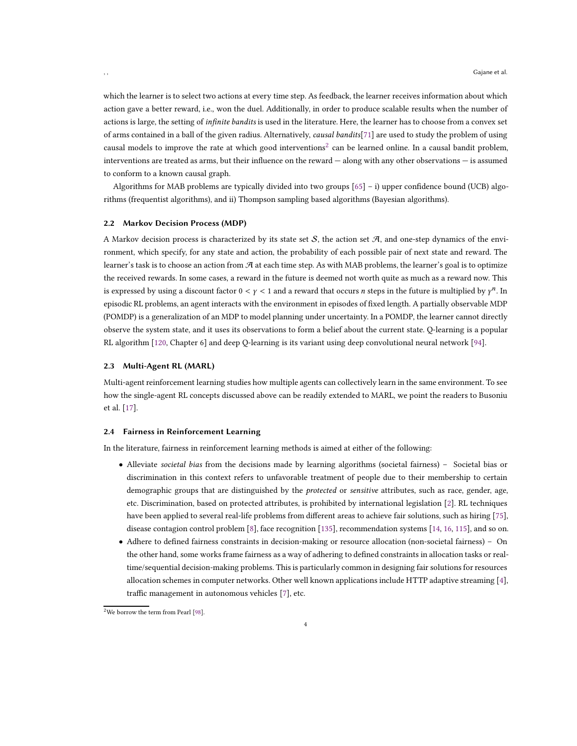which the learner is to select two actions at every time step. As feedback, the learner receives information about which action gave a better reward, i.e., won the duel. Additionally, in order to produce scalable results when the number of actions is large, the setting of infinite bandits is used in the literature. Here, the learner has to choose from a convex set of arms contained in a ball of the given radius. Alternatively, causal bandits[71] are used to study the problem of using causal models to improve the rate at which good interventions<sup>[2](#page-3-0)</sup> can be learned online. In a causal bandit problem, interventions are treated as arms, but their influence on the reward — along with any other observations — is assumed to conform to a known causal graph.

Algorithms for MAB problems are typically divided into two groups [\[65\]](#page-17-6) – i) upper confidence bound (UCB) algorithms (frequentist algorithms), and ii) Thompson sampling based algorithms (Bayesian algorithms).

## 2.2 Markov Decision Process (MDP)

A Markov decision process is characterized by its state set  $S$ , the action set  $A$ , and one-step dynamics of the environment, which specify, for any state and action, the probability of each possible pair of next state and reward. The learner's task is to choose an action from  $\mathcal A$  at each time step. As with MAB problems, the learner's goal is to optimize the received rewards. In some cases, a reward in the future is deemed not worth quite as much as a reward now. This is expressed by using a discount factor  $0 < y < 1$  and a reward that occurs n steps in the future is multiplied by  $\gamma^n$ . In episodic RL problems, an agent interacts with the environment in episodes of fixed length. A partially observable MDP (POMDP) is a generalization of an MDP to model planning under uncertainty. In a POMDP, the learner cannot directly observe the system state, and it uses its observations to form a belief about the current state. Q-learning is a popular RL algorithm [\[120](#page-19-1), Chapter 6] and deep Q-learning is its variant using deep convolutional neural network [\[94](#page-18-2)].

#### 2.3 Multi-Agent RL (MARL)

Multi-agent reinforcement learning studies how multiple agents can collectively learn in the same environment. To see how the single-agent RL concepts discussed above can be readily extended to MARL, we point the readers to Busoniu et al. [\[17](#page-15-2)].

#### 2.4 Fairness in Reinforcement Learning

In the literature, fairness in reinforcement learning methods is aimed at either of the following:

- Alleviate societal bias from the decisions made by learning algorithms (societal fairness) Societal bias or discrimination in this context refers to unfavorable treatment of people due to their membership to certain demographic groups that are distinguished by the *protected* or *sensitive* attributes, such as race, gender, age, etc. Discrimination, based on protected attributes, is prohibited by international legislation [\[2\]](#page-15-3). RL techniques have been applied to several real-life problems from different areas to achieve fair solutions, such as hiring [\[75](#page-17-1)], disease contagion control problem [\[8](#page-15-4)], face recognition [\[135](#page-20-0)], recommendation systems [\[14,](#page-15-5) [16](#page-15-6), [115\]](#page-19-3), and so on.
- Adhere to defined fairness constraints in decision-making or resource allocation (non-societal fairness) On the other hand, some works frame fairness as a way of adhering to defined constraints in allocation tasks or realtime/sequential decision-making problems. This is particularly common in designing fair solutions for resources allocation schemes in computer networks. Other well known applications include HTTP adaptive streaming [\[4](#page-15-7)], traffic management in autonomous vehicles [\[7](#page-15-8)], etc.

4

<span id="page-3-0"></span> $2$ We borrow the term from Pearl [\[98](#page-18-3)].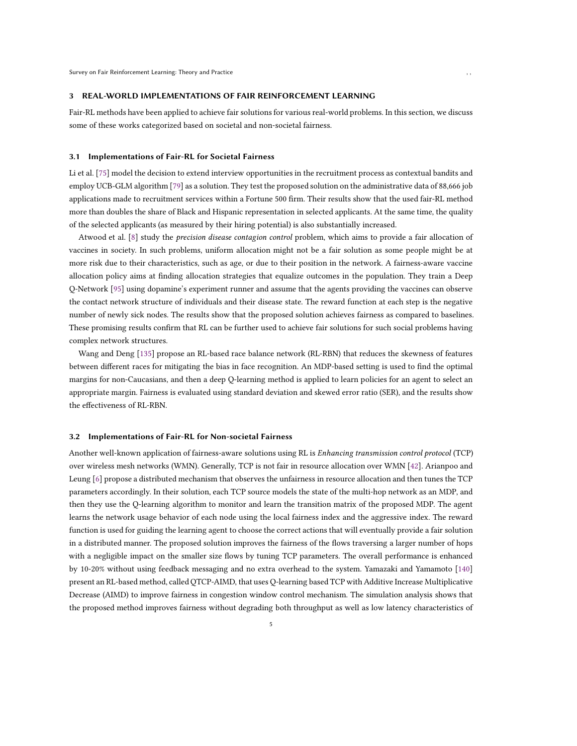#### <span id="page-4-0"></span>3 REAL-WORLD IMPLEMENTATIONS OF FAIR REINFORCEMENT LEARNING

Fair-RL methods have been applied to achieve fair solutions for various real-world problems. In this section, we discuss some of these works categorized based on societal and non-societal fairness.

#### 3.1 Implementations of Fair-RL for Societal Fairness

Li et al. [\[75](#page-17-1)] model the decision to extend interview opportunities in the recruitment process as contextual bandits and employ UCB-GLM algorithm [79] as a solution. They test the proposed solution on the administrative data of 88,666 job applications made to recruitment services within a Fortune 500 firm. Their results show that the used fair-RL method more than doubles the share of Black and Hispanic representation in selected applicants. At the same time, the quality of the selected applicants (as measured by their hiring potential) is also substantially increased.

Atwood et al. [\[8\]](#page-15-4) study the precision disease contagion control problem, which aims to provide a fair allocation of vaccines in society. In such problems, uniform allocation might not be a fair solution as some people might be at more risk due to their characteristics, such as age, or due to their position in the network. A fairness-aware vaccine allocation policy aims at finding allocation strategies that equalize outcomes in the population. They train a Deep Q-Network [\[95\]](#page-18-4) using dopamine's experiment runner and assume that the agents providing the vaccines can observe the contact network structure of individuals and their disease state. The reward function at each step is the negative number of newly sick nodes. The results show that the proposed solution achieves fairness as compared to baselines. These promising results confirm that RL can be further used to achieve fair solutions for such social problems having complex network structures.

Wang and Deng [\[135\]](#page-20-0) propose an RL-based race balance network (RL-RBN) that reduces the skewness of features between different races for mitigating the bias in face recognition. An MDP-based setting is used to find the optimal margins for non-Caucasians, and then a deep Q-learning method is applied to learn policies for an agent to select an appropriate margin. Fairness is evaluated using standard deviation and skewed error ratio (SER), and the results show the effectiveness of RL-RBN.

#### 3.2 Implementations of Fair-RL for Non-societal Fairness

Another well-known application of fairness-aware solutions using RL is Enhancing transmission control protocol (TCP) over wireless mesh networks (WMN). Generally, TCP is not fair in resource allocation over WMN [\[42](#page-16-3)]. Arianpoo and Leung [\[6\]](#page-15-9) propose a distributed mechanism that observes the unfairness in resource allocation and then tunes the TCP parameters accordingly. In their solution, each TCP source models the state of the multi-hop network as an MDP, and then they use the Q-learning algorithm to monitor and learn the transition matrix of the proposed MDP. The agent learns the network usage behavior of each node using the local fairness index and the aggressive index. The reward function is used for guiding the learning agent to choose the correct actions that will eventually provide a fair solution in a distributed manner. The proposed solution improves the fairness of the flows traversing a larger number of hops with a negligible impact on the smaller size flows by tuning TCP parameters. The overall performance is enhanced by 10-20% without using feedback messaging and no extra overhead to the system. Yamazaki and Yamamoto [\[140\]](#page-20-1) present an RL-based method, called QTCP-AIMD, that uses Q-learning based TCP with Additive Increase Multiplicative Decrease (AIMD) to improve fairness in congestion window control mechanism. The simulation analysis shows that the proposed method improves fairness without degrading both throughput as well as low latency characteristics of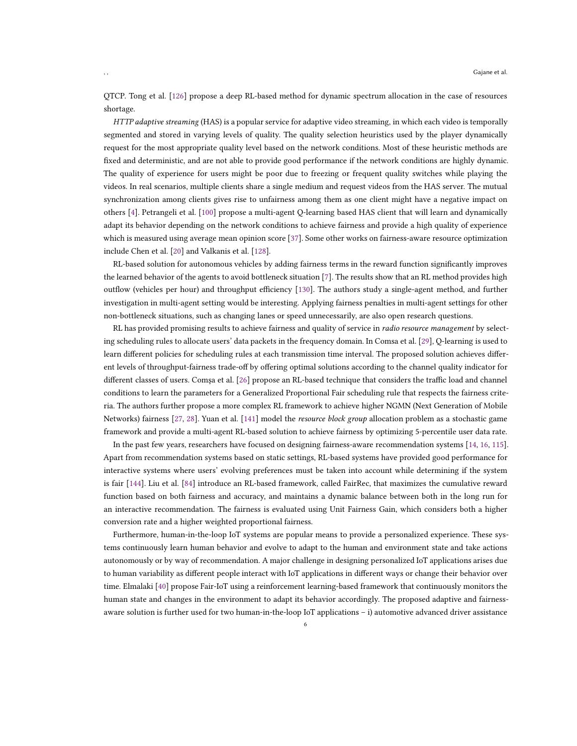QTCP. Tong et al. [\[126](#page-19-4)] propose a deep RL-based method for dynamic spectrum allocation in the case of resources shortage.

HTTP adaptive streaming (HAS) is a popular service for adaptive video streaming, in which each video is temporally segmented and stored in varying levels of quality. The quality selection heuristics used by the player dynamically request for the most appropriate quality level based on the network conditions. Most of these heuristic methods are fixed and deterministic, and are not able to provide good performance if the network conditions are highly dynamic. The quality of experience for users might be poor due to freezing or frequent quality switches while playing the videos. In real scenarios, multiple clients share a single medium and request videos from the HAS server. The mutual synchronization among clients gives rise to unfairness among them as one client might have a negative impact on others [\[4](#page-15-7)]. Petrangeli et al. [\[100](#page-18-5)] propose a multi-agent Q-learning based HAS client that will learn and dynamically adapt its behavior depending on the network conditions to achieve fairness and provide a high quality of experience which is measured using average mean opinion score [\[37\]](#page-16-4). Some other works on fairness-aware resource optimization include Chen et al. [\[20](#page-15-10)] and Valkanis et al. [\[128](#page-19-5)].

RL-based solution for autonomous vehicles by adding fairness terms in the reward function significantly improves the learned behavior of the agents to avoid bottleneck situation [\[7\]](#page-15-8). The results show that an RL method provides high outflow (vehicles per hour) and throughput efficiency [\[130](#page-19-6)]. The authors study a single-agent method, and further investigation in multi-agent setting would be interesting. Applying fairness penalties in multi-agent settings for other non-bottleneck situations, such as changing lanes or speed unnecessarily, are also open research questions.

RL has provided promising results to achieve fairness and quality of service in *radio resource management* by selecting scheduling rules to allocate users' data packets in the frequency domain. In Comsa et al. [\[29\]](#page-16-5), Q-learning is used to learn different policies for scheduling rules at each transmission time interval. The proposed solution achieves different levels of throughput-fairness trade-off by offering optimal solutions according to the channel quality indicator for different classes of users. Comşa et al. [\[26](#page-16-6)] propose an RL-based technique that considers the traffic load and channel conditions to learn the parameters for a Generalized Proportional Fair scheduling rule that respects the fairness criteria. The authors further propose a more complex RL framework to achieve higher NGMN (Next Generation of Mobile Networks) fairness [\[27,](#page-16-7) [28\]](#page-16-8). Yuan et al. [\[141](#page-20-2)] model the *resource block group* allocation problem as a stochastic game framework and provide a multi-agent RL-based solution to achieve fairness by optimizing 5-percentile user data rate.

In the past few years, researchers have focused on designing fairness-aware recommendation systems [\[14,](#page-15-5) [16](#page-15-6), [115\]](#page-19-3). Apart from recommendation systems based on static settings, RL-based systems have provided good performance for interactive systems where users' evolving preferences must be taken into account while determining if the system is fair [\[144\]](#page-20-3). Liu et al. [\[84](#page-18-6)] introduce an RL-based framework, called FairRec, that maximizes the cumulative reward function based on both fairness and accuracy, and maintains a dynamic balance between both in the long run for an interactive recommendation. The fairness is evaluated using Unit Fairness Gain, which considers both a higher conversion rate and a higher weighted proportional fairness.

Furthermore, human-in-the-loop IoT systems are popular means to provide a personalized experience. These systems continuously learn human behavior and evolve to adapt to the human and environment state and take actions autonomously or by way of recommendation. A major challenge in designing personalized IoT applications arises due to human variability as different people interact with IoT applications in different ways or change their behavior over time. Elmalaki [\[40](#page-16-9)] propose Fair-IoT using a reinforcement learning-based framework that continuously monitors the human state and changes in the environment to adapt its behavior accordingly. The proposed adaptive and fairnessaware solution is further used for two human-in-the-loop IoT applications – i) automotive advanced driver assistance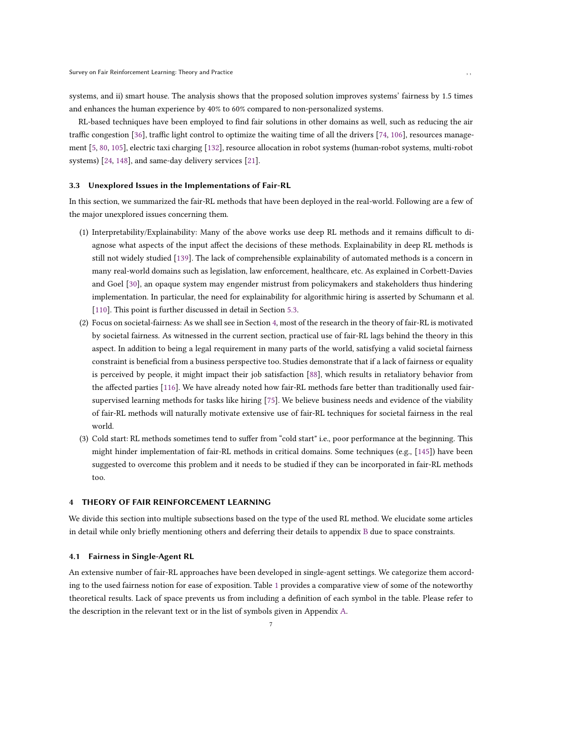systems, and ii) smart house. The analysis shows that the proposed solution improves systems' fairness by 1.5 times and enhances the human experience by 40% to 60% compared to non-personalized systems.

RL-based techniques have been employed to find fair solutions in other domains as well, such as reducing the air traffic congestion [\[36\]](#page-16-10), traffic light control to optimize the waiting time of all the drivers [\[74,](#page-17-7) [106](#page-19-7)], resources management [\[5,](#page-15-11) [80](#page-18-7), [105\]](#page-19-8), electric taxi charging [\[132\]](#page-20-4), resource allocation in robot systems (human-robot systems, multi-robot systems) [\[24,](#page-16-11) [148\]](#page-20-5), and same-day delivery services [\[21](#page-15-12)].

## 3.3 Unexplored Issues in the Implementations of Fair-RL

In this section, we summarized the fair-RL methods that have been deployed in the real-world. Following are a few of the major unexplored issues concerning them.

- (1) Interpretability/Explainability: Many of the above works use deep RL methods and it remains difficult to diagnose what aspects of the input affect the decisions of these methods. Explainability in deep RL methods is still not widely studied [139]. The lack of comprehensible explainability of automated methods is a concern in many real-world domains such as legislation, law enforcement, healthcare, etc. As explained in Corbett-Davies and Goel [\[30](#page-16-12)], an opaque system may engender mistrust from policymakers and stakeholders thus hindering implementation. In particular, the need for explainability for algorithmic hiring is asserted by Schumann et al. [110]. This point is further discussed in detail in Section [5.3.](#page-14-0)
- (2) Focus on societal-fairness: As we shall see in Section [4,](#page-6-0) most of the research in the theory of fair-RL is motivated by societal fairness. As witnessed in the current section, practical use of fair-RL lags behind the theory in this aspect. In addition to being a legal requirement in many parts of the world, satisfying a valid societal fairness constraint is beneficial from a business perspective too. Studies demonstrate that if a lack of fairness or equality is perceived by people, it might impact their job satisfaction [\[88\]](#page-18-8), which results in retaliatory behavior from the affected parties [\[116](#page-19-9)]. We have already noted how fair-RL methods fare better than traditionally used fairsupervised learning methods for tasks like hiring [\[75\]](#page-17-1). We believe business needs and evidence of the viability of fair-RL methods will naturally motivate extensive use of fair-RL techniques for societal fairness in the real world.
- (3) Cold start: RL methods sometimes tend to suffer from "cold start" i.e., poor performance at the beginning. This might hinder implementation of fair-RL methods in critical domains. Some techniques (e.g., [145]) have been suggested to overcome this problem and it needs to be studied if they can be incorporated in fair-RL methods too.

# <span id="page-6-0"></span>4 THEORY OF FAIR REINFORCEMENT LEARNING

We divide this section into multiple subsections based on the type of the used RL method. We elucidate some articles in detail while only briefly mentioning others and deferring their details to appendix [B](#page-21-0) due to space constraints.

#### <span id="page-6-1"></span>4.1 Fairness in Single-Agent RL

An extensive number of fair-RL approaches have been developed in single-agent settings. We categorize them according to the used fairness notion for ease of exposition. Table [1](#page-7-0) provides a comparative view of some of the noteworthy theoretical results. Lack of space prevents us from including a definition of each symbol in the table. Please refer to the description in the relevant text or in the list of symbols given in Appendix [A.](#page-20-6)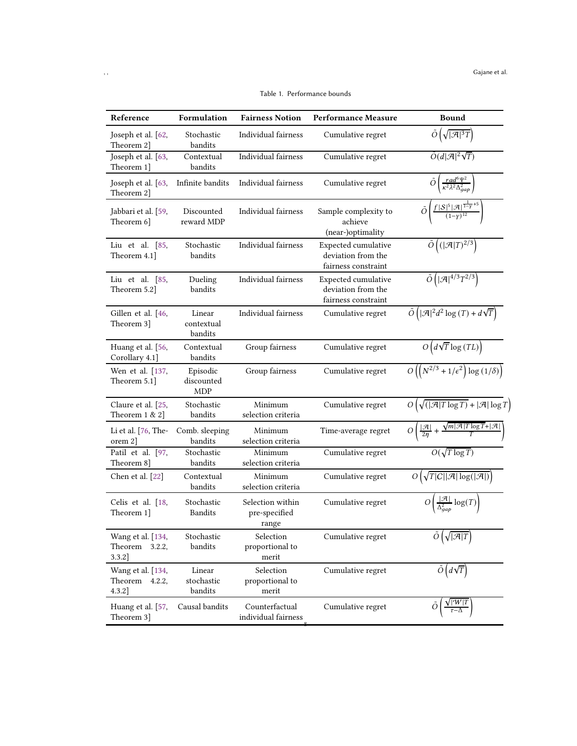<span id="page-7-0"></span>

| Reference                                        | Formulation                          | <b>Fairness Notion</b>                     | <b>Performance Measure</b>                                       | Bound                                                                                                |
|--------------------------------------------------|--------------------------------------|--------------------------------------------|------------------------------------------------------------------|------------------------------------------------------------------------------------------------------|
| Joseph et al. $[62, 62]$<br>Theorem 2]           | Stochastic<br>bandits                | Individual fairness                        | Cumulative regret                                                | $\tilde{O}\left(\sqrt{ \mathcal{A} ^3T}\right)$                                                      |
| Joseph et al. [63,<br>Theorem 1]                 | Contextual<br>bandits                | Individual fairness                        | Cumulative regret                                                | $\tilde{O}(d \mathcal{A} ^2\sqrt{T})$                                                                |
| Joseph et al. [63,<br>Theorem 2]                 | Infinite bandits                     | Individual fairness                        | Cumulative regret                                                | $\frac{rad^6\Psi^2}{\kappa^2\lambda^2\Delta_{gap}^2}$<br>Õ                                           |
| Jabbari et al. [59,<br>Theorem 6]                | Discounted<br>reward MDP             | Individual fairness                        | Sample complexity to<br>achieve<br>(near-)optimality             | Õ                                                                                                    |
| Liu et al. $[85,$<br>Theorem 4.1]                | Stochastic<br>bandits                | Individual fairness                        | Expected cumulative<br>deviation from the<br>fairness constraint | $\tilde{O}(( \mathcal{A} T)^{2/3})$                                                                  |
| Liu et al. $[85,$<br>Theorem 5.2]                | Dueling<br>bandits                   | Individual fairness                        | Expected cumulative<br>deviation from the<br>fairness constraint | $\tilde{O}\left( \mathcal{A} ^{4/3}T^{2/3}\right)$                                                   |
| Gillen et al. [46,<br>Theorem 3]                 | Linear<br>contextual<br>bandits      | Individual fairness                        | Cumulative regret                                                | $\tilde{O}\left( \mathcal{A} ^2d^2\log(T)+d\sqrt{T}\right)$                                          |
| Huang et al. [56,<br>Corollary 4.1]              | Contextual<br>bandits                | Group fairness                             | Cumulative regret                                                | $O(d\sqrt{T}\log(TL))$                                                                               |
| Wen et al. [137,<br>Theorem 5.1]                 | Episodic<br>discounted<br><b>MDP</b> | Group fairness                             | Cumulative regret                                                | $O\left(\left(N^{2/3}+1/\epsilon^2\right)\log\left(1/\delta\right)\right)$                           |
| Claure et al. [25,<br>Theorem $1 & 2$            | Stochastic<br>bandits                | Minimum<br>selection criteria              | Cumulative regret                                                | $O(\sqrt{( \mathcal{A} T \log T)} +  \mathcal{A}  \log T)$                                           |
| Li et al. [76, The-<br>orem 2                    | Comb. sleeping<br>bandits            | Minimum<br>selection criteria              | Time-average regret                                              | $O\left(\frac{ \mathcal{A} }{2\eta} + \frac{\sqrt{m \mathcal{A} T\log T} +  \mathcal{A} }{T}\right)$ |
| Patil et al. [97,<br>Theorem 8]                  | Stochastic<br>bandits                | Minimum<br>selection criteria              | Cumulative regret                                                | $O(\sqrt{T \log T})$                                                                                 |
| Chen et al. [22]                                 | Contextual<br>bandits                | Minimum<br>selection criteria              | Cumulative regret                                                | $O\left(\sqrt{T C  \mathcal{A} \log( \mathcal{A} )}\right)$                                          |
| Celis et al. [18,<br>Theorem 1]                  | Stochastic<br><b>Bandits</b>         | Selection within<br>pre-specified<br>range | Cumulative regret                                                | $O\left(\frac{ \mathcal{A} }{\Delta_{gap}^2}\log(T)\right)$                                          |
| Wang et al. [134,<br>Theorem 3.2.2,<br>$3.3.2$ ] | Stochastic<br>bandits                | Selection<br>proportional to<br>merit      | Cumulative regret                                                | $\tilde{O}(\sqrt{ \mathcal{A} T})$                                                                   |
| Wang et al. [134,<br>Theorem 4.2.2,<br>$4.3.2$ ] | Linear<br>stochastic<br>bandits      | Selection<br>proportional to<br>merit      | Cumulative regret                                                | $O(d\sqrt{T})$                                                                                       |
| Huang et al. [57,<br>Theorem 3]                  | Causal bandits                       | Counterfactual<br>individual fairness      | Cumulative regret                                                | Ο                                                                                                    |

Table 1. Performance bounds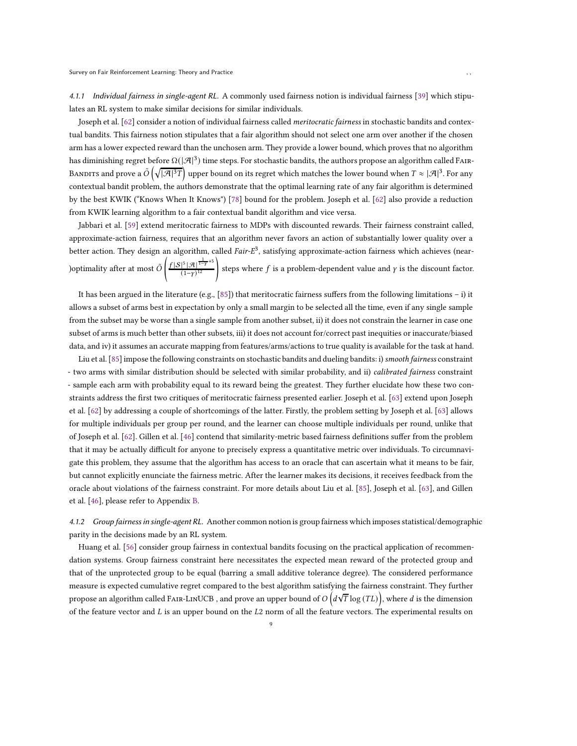4.1.1 Individual fairness in single-agent RL. A commonly used fairness notion is individual fairness [\[39\]](#page-16-13) which stipulates an RL system to make similar decisions for similar individuals.

Joseph et al. [\[62](#page-17-8)] consider a notion of individual fairness called meritocratic fairness in stochastic bandits and contextual bandits. This fairness notion stipulates that a fair algorithm should not select one arm over another if the chosen arm has a lower expected reward than the unchosen arm. They provide a lower bound, which proves that no algorithm has diminishing regret before  $\Omega(|\mathcal{A}|^3)$  time steps. For stochastic bandits, the authors propose an algorithm called FAIR-BANDITS and prove a  $\tilde{O}\left(\sqrt{|\mathcal{A}|^3T}\right)$  upper bound on its regret which matches the lower bound when  $T\approx |\mathcal{A}|^3.$  For any contextual bandit problem, the authors demonstrate that the optimal learning rate of any fair algorithm is determined by the best KWIK ("Knows When It Knows") [\[78\]](#page-18-11) bound for the problem. Joseph et al. [\[62\]](#page-17-8) also provide a reduction from KWIK learning algorithm to a fair contextual bandit algorithm and vice versa.

Jabbari et al. [\[59\]](#page-17-9) extend meritocratic fairness to MDPs with discounted rewards. Their fairness constraint called, approximate-action fairness, requires that an algorithm never favors an action of substantially lower quality over a better action. They design an algorithm, called Fair-E<sup>3</sup>, satisfying approximate-action fairness which achieves (near-)optimality after at most  $\tilde{O}\left(\frac{f|S|^5|\mathcal{A}|^{\frac{1}{1-\gamma}+5}}{(1-\nu)^{12}}\right)$  $\left(\frac{5|\mathcal{A}|^{\frac{1}{1-\gamma}+5}}{(1-\gamma)^{12}}\right)$  steps where  $f$  is a problem-dependent value and  $\gamma$  is the discount factor.

It has been argued in the literature (e.g.,  $[85]$ ) that meritocratic fairness suffers from the following limitations – i) it allows a subset of arms best in expectation by only a small margin to be selected all the time, even if any single sample from the subset may be worse than a single sample from another subset, ii) it does not constrain the learner in case one subset of arms is much better than other subsets, iii) it does not account for/correct past inequities or inaccurate/biased data, and iv) it assumes an accurate mapping from features/arms/actions to true quality is available for the task at hand.

Liu et al. [\[85\]](#page-18-9) impose the following constraints on stochastic bandits and dueling bandits: i) smooth fairness constraint - two arms with similar distribution should be selected with similar probability, and ii) calibrated fairness constraint - sample each arm with probability equal to its reward being the greatest. They further elucidate how these two constraints address the first two critiques of meritocratic fairness presented earlier. Joseph et al. [63] extend upon Joseph et al. [\[62\]](#page-17-8) by addressing a couple of shortcomings of the latter. Firstly, the problem setting by Joseph et al. [63] allows for multiple individuals per group per round, and the learner can choose multiple individuals per round, unlike that of Joseph et al. [\[62\]](#page-17-8). Gillen et al. [46] contend that similarity-metric based fairness definitions suffer from the problem that it may be actually difficult for anyone to precisely express a quantitative metric over individuals. To circumnavigate this problem, they assume that the algorithm has access to an oracle that can ascertain what it means to be fair, but cannot explicitly enunciate the fairness metric. After the learner makes its decisions, it receives feedback from the oracle about violations of the fairness constraint. For more details about Liu et al. [\[85](#page-18-9)], Joseph et al. [63], and Gillen et al. [46], please refer to Appendix [B.](#page-21-0)

4.1.2 Group fairness in single-agent RL. Another common notion is group fairness which imposes statistical/demographic parity in the decisions made by an RL system.

Huang et al. [56] consider group fairness in contextual bandits focusing on the practical application of recommendation systems. Group fairness constraint here necessitates the expected mean reward of the protected group and that of the unprotected group to be equal (barring a small additive tolerance degree). The considered performance measure is expected cumulative regret compared to the best algorithm satisfying the fairness constraint. They further propose an algorithm called FAIR-LINUCB , and prove an upper bound of  $O\left(d\sqrt{T}\log{(TL)}\right)$ , where  $d$  is the dimension of the feature vector and  $L$  is an upper bound on the  $L2$  norm of all the feature vectors. The experimental results on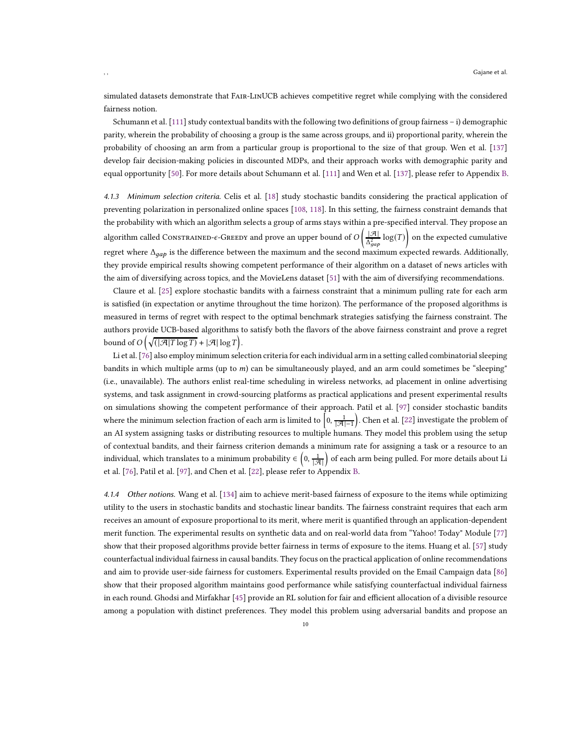simulated datasets demonstrate that Fair-LinUCB achieves competitive regret while complying with the considered fairness notion.

Schumann et al. [111] study contextual bandits with the following two definitions of group fairness – i) demographic parity, wherein the probability of choosing a group is the same across groups, and ii) proportional parity, wherein the probability of choosing an arm from a particular group is proportional to the size of that group. Wen et al. [\[137](#page-20-7)] develop fair decision-making policies in discounted MDPs, and their approach works with demographic parity and equal opportunity [\[50\]](#page-17-5). For more details about Schumann et al. [111] and Wen et al. [\[137](#page-20-7)], please refer to Appendix [B.](#page-21-0)

4.1.3 Minimum selection criteria. Celis et al. [18] study stochastic bandits considering the practical application of preventing polarization in personalized online spaces [108, [118](#page-19-10)]. In this setting, the fairness constraint demands that the probability with which an algorithm selects a group of arms stays within a pre-specified interval. They propose an algorithm called CONSTRAINED- $\epsilon$ -GREEDY and prove an upper bound of  $O\left(\frac{|\mathcal{A}|}{\Delta_{gap}^2}\log(T)\right)$  on the expected cumulative regret where  $\Delta_{qap}$  is the difference between the maximum and the second maximum expected rewards. Additionally, they provide empirical results showing competent performance of their algorithm on a dataset of news articles with the aim of diversifying across topics, and the MovieLens dataset [51] with the aim of diversifying recommendations.

Claure et al. [25] explore stochastic bandits with a fairness constraint that a minimum pulling rate for each arm is satisfied (in expectation or anytime throughout the time horizon). The performance of the proposed algorithms is measured in terms of regret with respect to the optimal benchmark strategies satisfying the fairness constraint. The authors provide UCB-based algorithms to satisfy both the flavors of the above fairness constraint and prove a regret bound of  $O\left(\sqrt{(|\mathcal{A}|T\log T)} + |\mathcal{A}|\log T\right)$ .

Li et al. [\[76\]](#page-17-10) also employ minimum selection criteria for each individual arm in a setting called combinatorial sleeping bandits in which multiple arms (up to  $m$ ) can be simultaneously played, and an arm could sometimes be "sleeping" (i.e., unavailable). The authors enlist real-time scheduling in wireless networks, ad placement in online advertising systems, and task assignment in crowd-sourcing platforms as practical applications and present experimental results on simulations showing the competent performance of their approach. Patil et al. [\[97](#page-18-10)] consider stochastic bandits where the minimum selection fraction of each arm is limited to  $\left[0, \frac{1}{|\mathcal{A}|-1}\right]$  . Chen et al. [22] investigate the problem of an AI system assigning tasks or distributing resources to multiple humans. They model this problem using the setup of contextual bandits, and their fairness criterion demands a minimum rate for assigning a task or a resource to an individual, which translates to a minimum probability ∈  $(0, \frac{1}{|\mathcal{A}|})$  of each arm being pulled. For more details about Li et al. [\[76](#page-17-10)], Patil et al. [\[97\]](#page-18-10), and Chen et al. [22], please refer to Appendix [B.](#page-21-0)

4.1.4 Other notions. Wang et al. [\[134\]](#page-20-8) aim to achieve merit-based fairness of exposure to the items while optimizing utility to the users in stochastic bandits and stochastic linear bandits. The fairness constraint requires that each arm receives an amount of exposure proportional to its merit, where merit is quantified through an application-dependent merit function. The experimental results on synthetic data and on real-world data from "Yahoo! Today" Module [77] show that their proposed algorithms provide better fairness in terms of exposure to the items. Huang et al. [\[57](#page-17-11)] study counterfactual individual fairness in causal bandits. They focus on the practical application of online recommendations and aim to provide user-side fairness for customers. Experimental results provided on the Email Campaign data [\[86](#page-18-12)] show that their proposed algorithm maintains good performance while satisfying counterfactual individual fairness in each round. Ghodsi and Mirfakhar [45] provide an RL solution for fair and efficient allocation of a divisible resource among a population with distinct preferences. They model this problem using adversarial bandits and propose an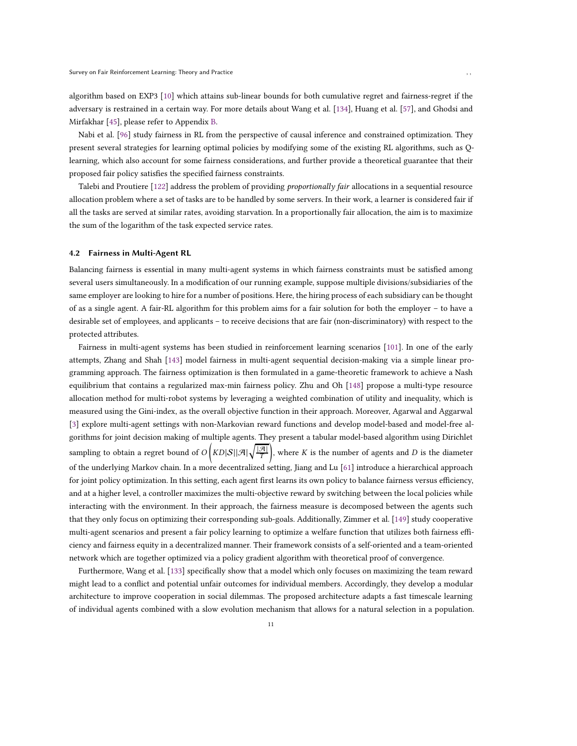algorithm based on EXP3 [10] which attains sub-linear bounds for both cumulative regret and fairness-regret if the adversary is restrained in a certain way. For more details about Wang et al. [\[134](#page-20-8)], Huang et al. [\[57](#page-17-11)], and Ghodsi and Mirfakhar [45], please refer to Appendix [B.](#page-21-0)

Nabi et al. [\[96\]](#page-18-13) study fairness in RL from the perspective of causal inference and constrained optimization. They present several strategies for learning optimal policies by modifying some of the existing RL algorithms, such as Qlearning, which also account for some fairness considerations, and further provide a theoretical guarantee that their proposed fair policy satisfies the specified fairness constraints.

Talebi and Proutiere [122] address the problem of providing *proportionally fair* allocations in a sequential resource allocation problem where a set of tasks are to be handled by some servers. In their work, a learner is considered fair if all the tasks are served at similar rates, avoiding starvation. In a proportionally fair allocation, the aim is to maximize the sum of the logarithm of the task expected service rates.

## <span id="page-10-0"></span>4.2 Fairness in Multi-Agent RL

Balancing fairness is essential in many multi-agent systems in which fairness constraints must be satisfied among several users simultaneously. In a modification of our running example, suppose multiple divisions/subsidiaries of the same employer are looking to hire for a number of positions. Here, the hiring process of each subsidiary can be thought of as a single agent. A fair-RL algorithm for this problem aims for a fair solution for both the employer – to have a desirable set of employees, and applicants – to receive decisions that are fair (non-discriminatory) with respect to the protected attributes.

Fairness in multi-agent systems has been studied in reinforcement learning scenarios [\[101\]](#page-18-14). In one of the early attempts, Zhang and Shah [\[143\]](#page-20-9) model fairness in multi-agent sequential decision-making via a simple linear programming approach. The fairness optimization is then formulated in a game-theoretic framework to achieve a Nash equilibrium that contains a regularized max-min fairness policy. Zhu and Oh [\[148\]](#page-20-5) propose a multi-type resource allocation method for multi-robot systems by leveraging a weighted combination of utility and inequality, which is measured using the Gini-index, as the overall objective function in their approach. Moreover, Agarwal and Aggarwal [\[3\]](#page-15-13) explore multi-agent settings with non-Markovian reward functions and develop model-based and model-free algorithms for joint decision making of multiple agents. They present a tabular model-based algorithm using Dirichlet sampling to obtain a regret bound of  $O\left(KD|\mathcal{S}||\mathcal{A}|\sqrt{\frac{|\mathcal{A}|}{T}}\right)$ ), where  $K$  is the number of agents and  $D$  is the diameter of the underlying Markov chain. In a more decentralized setting, Jiang and Lu [\[61\]](#page-17-12) introduce a hierarchical approach for joint policy optimization. In this setting, each agent first learns its own policy to balance fairness versus efficiency, and at a higher level, a controller maximizes the multi-objective reward by switching between the local policies while interacting with the environment. In their approach, the fairness measure is decomposed between the agents such that they only focus on optimizing their corresponding sub-goals. Additionally, Zimmer et al. [\[149](#page-20-10)] study cooperative multi-agent scenarios and present a fair policy learning to optimize a welfare function that utilizes both fairness efficiency and fairness equity in a decentralized manner. Their framework consists of a self-oriented and a team-oriented network which are together optimized via a policy gradient algorithm with theoretical proof of convergence.

Furthermore, Wang et al. [\[133](#page-20-11)] specifically show that a model which only focuses on maximizing the team reward might lead to a conflict and potential unfair outcomes for individual members. Accordingly, they develop a modular architecture to improve cooperation in social dilemmas. The proposed architecture adapts a fast timescale learning of individual agents combined with a slow evolution mechanism that allows for a natural selection in a population.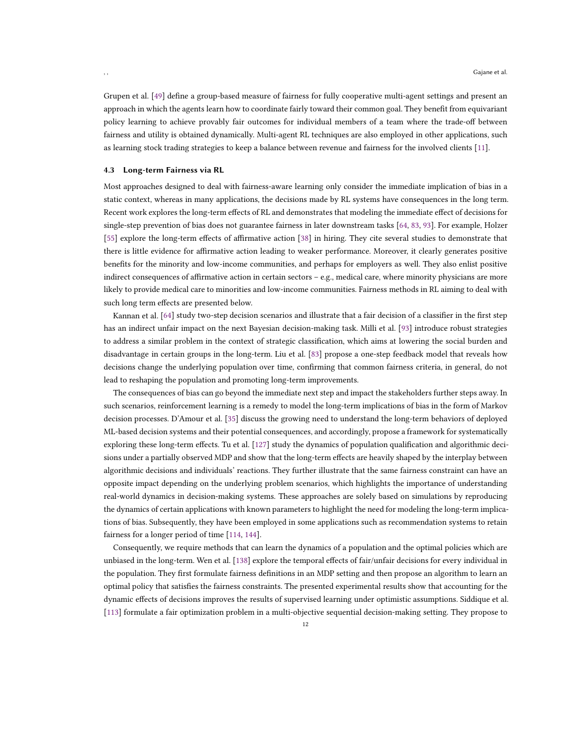Grupen et al. [\[49](#page-17-13)] define a group-based measure of fairness for fully cooperative multi-agent settings and present an approach in which the agents learn how to coordinate fairly toward their common goal. They benefit from equivariant policy learning to achieve provably fair outcomes for individual members of a team where the trade-off between fairness and utility is obtained dynamically. Multi-agent RL techniques are also employed in other applications, such as learning stock trading strategies to keep a balance between revenue and fairness for the involved clients [\[11](#page-15-14)].

#### <span id="page-11-0"></span>4.3 Long-term Fairness via RL

Most approaches designed to deal with fairness-aware learning only consider the immediate implication of bias in a static context, whereas in many applications, the decisions made by RL systems have consequences in the long term. Recent work explores the long-term effects of RL and demonstrates that modeling the immediate effect of decisions for single-step prevention of bias does not guarantee fairness in later downstream tasks [\[64](#page-17-14), [83,](#page-18-15) [93](#page-18-16)]. For example, Holzer [\[55\]](#page-17-15) explore the long-term effects of affirmative action [\[38\]](#page-16-14) in hiring. They cite several studies to demonstrate that there is little evidence for affirmative action leading to weaker performance. Moreover, it clearly generates positive benefits for the minority and low-income communities, and perhaps for employers as well. They also enlist positive indirect consequences of affirmative action in certain sectors – e.g., medical care, where minority physicians are more likely to provide medical care to minorities and low-income communities. Fairness methods in RL aiming to deal with such long term effects are presented below.

Kannan et al. [\[64\]](#page-17-14) study two-step decision scenarios and illustrate that a fair decision of a classifier in the first step has an indirect unfair impact on the next Bayesian decision-making task. Milli et al. [\[93](#page-18-16)] introduce robust strategies to address a similar problem in the context of strategic classification, which aims at lowering the social burden and disadvantage in certain groups in the long-term. Liu et al. [\[83\]](#page-18-15) propose a one-step feedback model that reveals how decisions change the underlying population over time, confirming that common fairness criteria, in general, do not lead to reshaping the population and promoting long-term improvements.

The consequences of bias can go beyond the immediate next step and impact the stakeholders further steps away. In such scenarios, reinforcement learning is a remedy to model the long-term implications of bias in the form of Markov decision processes. D'Amour et al. [\[35](#page-16-15)] discuss the growing need to understand the long-term behaviors of deployed ML-based decision systems and their potential consequences, and accordingly, propose a framework for systematically exploring these long-term effects. Tu et al. [\[127\]](#page-19-11) study the dynamics of population qualification and algorithmic decisions under a partially observed MDP and show that the long-term effects are heavily shaped by the interplay between algorithmic decisions and individuals' reactions. They further illustrate that the same fairness constraint can have an opposite impact depending on the underlying problem scenarios, which highlights the importance of understanding real-world dynamics in decision-making systems. These approaches are solely based on simulations by reproducing the dynamics of certain applications with known parameters to highlight the need for modeling the long-term implications of bias. Subsequently, they have been employed in some applications such as recommendation systems to retain fairness for a longer period of time [\[114,](#page-19-12) [144](#page-20-3)].

Consequently, we require methods that can learn the dynamics of a population and the optimal policies which are unbiased in the long-term. Wen et al. [\[138\]](#page-20-12) explore the temporal effects of fair/unfair decisions for every individual in the population. They first formulate fairness definitions in an MDP setting and then propose an algorithm to learn an optimal policy that satisfies the fairness constraints. The presented experimental results show that accounting for the dynamic effects of decisions improves the results of supervised learning under optimistic assumptions. Siddique et al. [\[113\]](#page-19-13) formulate a fair optimization problem in a multi-objective sequential decision-making setting. They propose to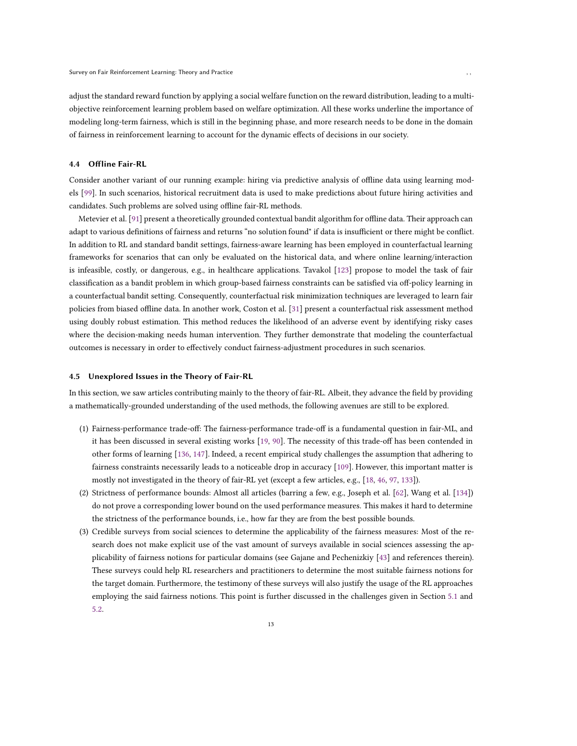adjust the standard reward function by applying a social welfare function on the reward distribution, leading to a multiobjective reinforcement learning problem based on welfare optimization. All these works underline the importance of modeling long-term fairness, which is still in the beginning phase, and more research needs to be done in the domain of fairness in reinforcement learning to account for the dynamic effects of decisions in our society.

## <span id="page-12-0"></span>4.4 Offline Fair-RL

Consider another variant of our running example: hiring via predictive analysis of offline data using learning models [\[99\]](#page-18-17). In such scenarios, historical recruitment data is used to make predictions about future hiring activities and candidates. Such problems are solved using offline fair-RL methods.

Metevier et al. [\[91\]](#page-18-18) present a theoretically grounded contextual bandit algorithm for offline data. Their approach can adapt to various definitions of fairness and returns "no solution found" if data is insufficient or there might be conflict. In addition to RL and standard bandit settings, fairness-aware learning has been employed in counterfactual learning frameworks for scenarios that can only be evaluated on the historical data, and where online learning/interaction is infeasible, costly, or dangerous, e.g., in healthcare applications. Tavakol [\[123](#page-19-14)] propose to model the task of fair classification as a bandit problem in which group-based fairness constraints can be satisfied via off-policy learning in a counterfactual bandit setting. Consequently, counterfactual risk minimization techniques are leveraged to learn fair policies from biased offline data. In another work, Coston et al. [\[31](#page-16-16)] present a counterfactual risk assessment method using doubly robust estimation. This method reduces the likelihood of an adverse event by identifying risky cases where the decision-making needs human intervention. They further demonstrate that modeling the counterfactual outcomes is necessary in order to effectively conduct fairness-adjustment procedures in such scenarios.

## 4.5 Unexplored Issues in the Theory of Fair-RL

In this section, we saw articles contributing mainly to the theory of fair-RL. Albeit, they advance the field by providing a mathematically-grounded understanding of the used methods, the following avenues are still to be explored.

- (1) Fairness-performance trade-off: The fairness-performance trade-off is a fundamental question in fair-ML, and it has been discussed in several existing works [19, [90\]](#page-18-19). The necessity of this trade-off has been contended in other forms of learning [136, 147]. Indeed, a recent empirical study challenges the assumption that adhering to fairness constraints necessarily leads to a noticeable drop in accuracy [\[109](#page-19-15)]. However, this important matter is mostly not investigated in the theory of fair-RL yet (except a few articles, e.g., [18, 46, [97,](#page-18-10) [133](#page-20-11)]).
- (2) Strictness of performance bounds: Almost all articles (barring a few, e.g., Joseph et al. [\[62\]](#page-17-8), Wang et al. [\[134\]](#page-20-8)) do not prove a corresponding lower bound on the used performance measures. This makes it hard to determine the strictness of the performance bounds, i.e., how far they are from the best possible bounds.
- (3) Credible surveys from social sciences to determine the applicability of the fairness measures: Most of the research does not make explicit use of the vast amount of surveys available in social sciences assessing the applicability of fairness notions for particular domains (see Gajane and Pechenizkiy [\[43\]](#page-16-0) and references therein). These surveys could help RL researchers and practitioners to determine the most suitable fairness notions for the target domain. Furthermore, the testimony of these surveys will also justify the usage of the RL approaches employing the said fairness notions. This point is further discussed in the challenges given in Section [5.1](#page-13-1) and [5.2.](#page-13-2)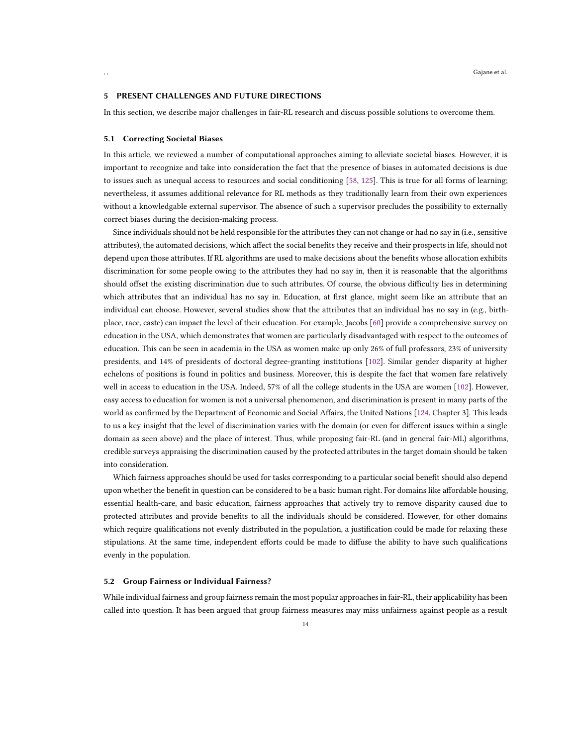#### <span id="page-13-0"></span>5 PRESENT CHALLENGES AND FUTURE DIRECTIONS

<span id="page-13-1"></span>In this section, we describe major challenges in fair-RL research and discuss possible solutions to overcome them.

#### 5.1 Correcting Societal Biases

In this article, we reviewed a number of computational approaches aiming to alleviate societal biases. However, it is important to recognize and take into consideration the fact that the presence of biases in automated decisions is due to issues such as unequal access to resources and social conditioning [\[58,](#page-17-16) [125\]](#page-19-16). This is true for all forms of learning; nevertheless, it assumes additional relevance for RL methods as they traditionally learn from their own experiences without a knowledgable external supervisor. The absence of such a supervisor precludes the possibility to externally correct biases during the decision-making process.

Since individuals should not be held responsible for the attributes they can not change or had no say in (i.e., sensitive attributes), the automated decisions, which affect the social benefits they receive and their prospects in life, should not depend upon those attributes. If RL algorithms are used to make decisions about the benefits whose allocation exhibits discrimination for some people owing to the attributes they had no say in, then it is reasonable that the algorithms should offset the existing discrimination due to such attributes. Of course, the obvious difficulty lies in determining which attributes that an individual has no say in. Education, at first glance, might seem like an attribute that an individual can choose. However, several studies show that the attributes that an individual has no say in (e.g., birthplace, race, caste) can impact the level of their education. For example, Jacobs [\[60\]](#page-17-17) provide a comprehensive survey on education in the USA, which demonstrates that women are particularly disadvantaged with respect to the outcomes of education. This can be seen in academia in the USA as women make up only 26% of full professors, 23% of university presidents, and 14% of presidents of doctoral degree-granting institutions [\[102\]](#page-18-20). Similar gender disparity at higher echelons of positions is found in politics and business. Moreover, this is despite the fact that women fare relatively well in access to education in the USA. Indeed, 57% of all the college students in the USA are women [\[102](#page-18-20)]. However, easy access to education for women is not a universal phenomenon, and discrimination is present in many parts of the world as confirmed by the Department of Economic and Social Affairs, the United Nations [\[124](#page-19-17), Chapter 3]. This leads to us a key insight that the level of discrimination varies with the domain (or even for different issues within a single domain as seen above) and the place of interest. Thus, while proposing fair-RL (and in general fair-ML) algorithms, credible surveys appraising the discrimination caused by the protected attributes in the target domain should be taken into consideration.

Which fairness approaches should be used for tasks corresponding to a particular social benefit should also depend upon whether the benefit in question can be considered to be a basic human right. For domains like affordable housing, essential health-care, and basic education, fairness approaches that actively try to remove disparity caused due to protected attributes and provide benefits to all the individuals should be considered. However, for other domains which require qualifications not evenly distributed in the population, a justification could be made for relaxing these stipulations. At the same time, independent efforts could be made to diffuse the ability to have such qualifications evenly in the population.

#### <span id="page-13-2"></span>5.2 Group Fairness or Individual Fairness?

While individual fairness and group fairness remain the most popular approaches in fair-RL, their applicability has been called into question. It has been argued that group fairness measures may miss unfairness against people as a result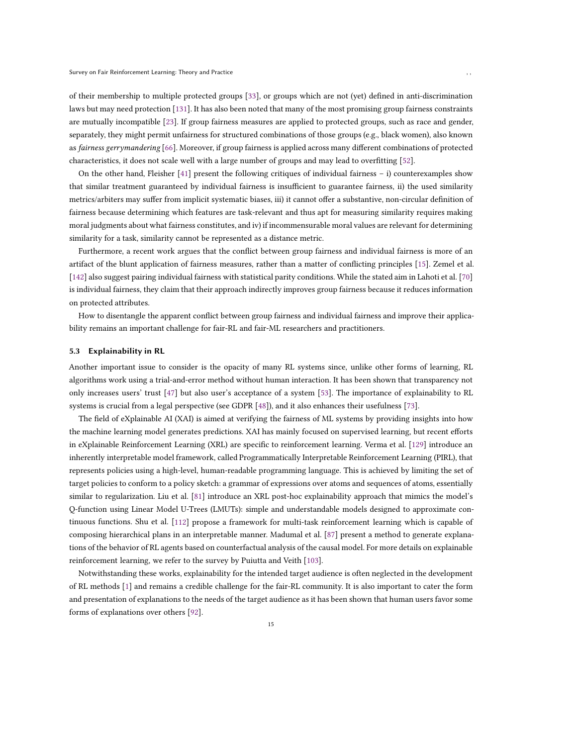of their membership to multiple protected groups [33], or groups which are not (yet) defined in anti-discrimination laws but may need protection [\[131\]](#page-19-18). It has also been noted that many of the most promising group fairness constraints are mutually incompatible [23]. If group fairness measures are applied to protected groups, such as race and gender, separately, they might permit unfairness for structured combinations of those groups (e.g., black women), also known as fairness gerrymandering [\[66](#page-17-18)]. Moreover, if group fairness is applied across many different combinations of protected characteristics, it does not scale well with a large number of groups and may lead to overfitting [\[52\]](#page-17-19).

On the other hand, Fleisher [41] present the following critiques of individual fairness – i) counterexamples show that similar treatment guaranteed by individual fairness is insufficient to guarantee fairness, ii) the used similarity metrics/arbiters may suffer from implicit systematic biases, iii) it cannot offer a substantive, non-circular definition of fairness because determining which features are task-relevant and thus apt for measuring similarity requires making moral judgments about what fairness constitutes, and iv) if incommensurable moral values are relevant for determining similarity for a task, similarity cannot be represented as a distance metric.

Furthermore, a recent work argues that the conflict between group fairness and individual fairness is more of an artifact of the blunt application of fairness measures, rather than a matter of conflicting principles [15]. Zemel et al. [\[142](#page-20-13)] also suggest pairing individual fairness with statistical parity conditions. While the stated aim in Lahoti et al. [\[70\]](#page-17-20) is individual fairness, they claim that their approach indirectly improves group fairness because it reduces information on protected attributes.

How to disentangle the apparent conflict between group fairness and individual fairness and improve their applicability remains an important challenge for fair-RL and fair-ML researchers and practitioners.

# <span id="page-14-0"></span>5.3 Explainability in RL

Another important issue to consider is the opacity of many RL systems since, unlike other forms of learning, RL algorithms work using a trial-and-error method without human interaction. It has been shown that transparency not only increases users' trust [47] but also user's acceptance of a system [53]. The importance of explainability to RL systems is crucial from a legal perspective (see GDPR [\[48](#page-17-21)]), and it also enhances their usefulness [73].

The field of eXplainable AI (XAI) is aimed at verifying the fairness of ML systems by providing insights into how the machine learning model generates predictions. XAI has mainly focused on supervised learning, but recent efforts in eXplainable Reinforcement Learning (XRL) are specific to reinforcement learning. Verma et al. [\[129\]](#page-19-19) introduce an inherently interpretable model framework, called Programmatically Interpretable Reinforcement Learning (PIRL), that represents policies using a high-level, human-readable programming language. This is achieved by limiting the set of target policies to conform to a policy sketch: a grammar of expressions over atoms and sequences of atoms, essentially similar to regularization. Liu et al. [\[81\]](#page-18-21) introduce an XRL post-hoc explainability approach that mimics the model's Q-function using Linear Model U-Trees (LMUTs): simple and understandable models designed to approximate continuous functions. Shu et al. [112] propose a framework for multi-task reinforcement learning which is capable of composing hierarchical plans in an interpretable manner. Madumal et al. [87] present a method to generate explanations of the behavior of RL agents based on counterfactual analysis of the causal model. For more details on explainable reinforcement learning, we refer to the survey by Puiutta and Veith [\[103](#page-18-22)].

Notwithstanding these works, explainability for the intended target audience is often neglected in the development of RL methods [1] and remains a credible challenge for the fair-RL community. It is also important to cater the form and presentation of explanations to the needs of the target audience as it has been shown that human users favor some forms of explanations over others [\[92\]](#page-18-23).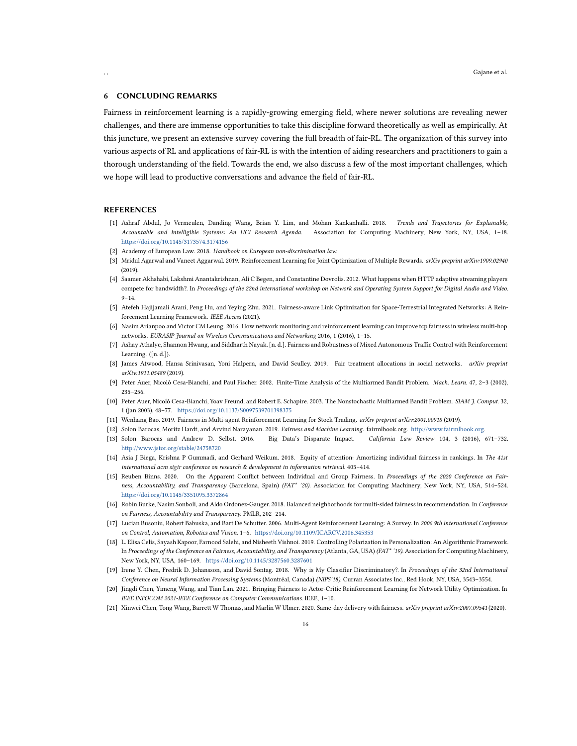## <span id="page-15-1"></span>6 CONCLUDING REMARKS

Fairness in reinforcement learning is a rapidly-growing emerging field, where newer solutions are revealing newer challenges, and there are immense opportunities to take this discipline forward theoretically as well as empirically. At this juncture, we present an extensive survey covering the full breadth of fair-RL. The organization of this survey into various aspects of RL and applications of fair-RL is with the intention of aiding researchers and practitioners to gain a thorough understanding of the field. Towards the end, we also discuss a few of the most important challenges, which we hope will lead to productive conversations and advance the field of fair-RL.

## **REFERENCES**

- [1] Ashraf Abdul, Jo Vermeulen, Danding Wang, Brian Y. Lim, and Mohan Kankanhalli. 2018. Trends and Trajectories for Explainable, Accountable and Intelligible Systems: An HCI Research Agenda. Association for Computing Machinery, New York, NY, USA, 1–18. <https://doi.org/10.1145/3173574.3174156>
- <span id="page-15-3"></span>[2] Academy of European Law. 2018. Handbook on European non-discrimination law.
- <span id="page-15-13"></span>[3] Mridul Agarwal and Vaneet Aggarwal. 2019. Reinforcement Learning for Joint Optimization of Multiple Rewards. arXiv preprint arXiv:1909.02940 (2019).
- <span id="page-15-7"></span>[4] Saamer Akhshabi, Lakshmi Anantakrishnan, Ali C Begen, and Constantine Dovrolis. 2012. What happens when HTTP adaptive streaming players compete for bandwidth?. In Proceedings of the 22nd international workshop on Network and Operating System Support for Digital Audio and Video.  $9 - 14.$
- <span id="page-15-11"></span>[5] Atefeh Hajijamali Arani, Peng Hu, and Yeying Zhu. 2021. Fairness-aware Link Optimization for Space-Terrestrial Integrated Networks: A Reinforcement Learning Framework. IEEE Access (2021).
- <span id="page-15-9"></span>[6] Nasim Arianpoo and Victor CM Leung. 2016. How network monitoring and reinforcement learning can improve tcp fairness in wireless multi-hop networks. EURASIP Journal on Wireless Communications and Networking 2016, 1 (2016), 1–15.
- <span id="page-15-8"></span>[7] Ashay Athalye, Shannon Hwang, and Siddharth Nayak. [n. d.]. Fairness and Robustness of Mixed Autonomous Traffic Control with Reinforcement Learning. ([n. d.]).
- <span id="page-15-4"></span>[8] James Atwood, Hansa Srinivasan, Yoni Halpern, and David Sculley. 2019. Fair treatment allocations in social networks. arXiv preprint arXiv:1911.05489 (2019).
- <span id="page-15-15"></span>[9] Peter Auer, Nicolò Cesa-Bianchi, and Paul Fischer. 2002. Finite-Time Analysis of the Multiarmed Bandit Problem. Mach. Learn. 47, 2–3 (2002), 235–256.
- [10] Peter Auer, Nicolò Cesa-Bianchi, Yoav Freund, and Robert E. Schapire. 2003. The Nonstochastic Multiarmed Bandit Problem. SIAM J. Comput. 32, 1 (jan 2003), 48–77. <https://doi.org/10.1137/S0097539701398375>
- <span id="page-15-14"></span>[11] Wenhang Bao. 2019. Fairness in Multi-agent Reinforcement Learning for Stock Trading. arXiv preprint arXiv:2001.00918 (2019).
- <span id="page-15-0"></span>[12] Solon Barocas, Moritz Hardt, and Arvind Narayanan. 2019. Fairness and Machine Learning. fairmlbook.org. [http://www.fairmlbook.org.](http://www.fairmlbook.org)
- [13] Solon Barocas and Andrew D. Selbst. 2016. Big Data's Disparate Impact. California Law Review 104, 3 (2016), 671–732. <http://www.jstor.org/stable/24758720>
- <span id="page-15-5"></span>[14] Asia J Biega, Krishna P Gummadi, and Gerhard Weikum. 2018. Equity of attention: Amortizing individual fairness in rankings. In The 41st international acm sigir conference on research & development in information retrieval. 405–414.
- [15] Reuben Binns. 2020. On the Apparent Conflict between Individual and Group Fairness. In Proceedings of the 2020 Conference on Fairness, Accountability, and Transparency (Barcelona, Spain) (FAT\* '20). Association for Computing Machinery, New York, NY, USA, 514–524. <https://doi.org/10.1145/3351095.3372864>
- <span id="page-15-6"></span>[16] Robin Burke, Nasim Sonboli, and Aldo Ordonez-Gauger. 2018. Balanced neighborhoods for multi-sided fairness in recommendation. In Conference on Fairness, Accountability and Transparency. PMLR, 202–214.
- <span id="page-15-2"></span>[17] Lucian Busoniu, Robert Babuska, and Bart De Schutter. 2006. Multi-Agent Reinforcement Learning: A Survey. In 2006 9th International Conference on Control, Automation, Robotics and Vision. 1–6. <https://doi.org/10.1109/ICARCV.2006.345353>
- [18] L. Elisa Celis, Sayash Kapoor, Farnood Salehi, and Nisheeth Vishnoi. 2019. Controlling Polarization in Personalization: An Algorithmic Framework. In Proceedings of the Conference on Fairness, Accountability, and Transparency (Atlanta, GA, USA) (FAT\* '19). Association for Computing Machinery, New York, NY, USA, 160–169. <https://doi.org/10.1145/3287560.3287601>
- [19] Irene Y. Chen, Fredrik D. Johansson, and David Sontag. 2018. Why is My Classifier Discriminatory?. In Proceedings of the 32nd International Conference on Neural Information Processing Systems (Montréal, Canada) (NIPS'18). Curran Associates Inc., Red Hook, NY, USA, 3543–3554.
- <span id="page-15-10"></span>[20] Jingdi Chen, Yimeng Wang, and Tian Lan. 2021. Bringing Fairness to Actor-Critic Reinforcement Learning for Network Utility Optimization. In IEEE INFOCOM 2021-IEEE Conference on Computer Communications. IEEE, 1–10.
- <span id="page-15-12"></span>[21] Xinwei Chen, Tong Wang, Barrett W Thomas, and Marlin W Ulmer. 2020. Same-day delivery with fairness. arXiv preprint arXiv:2007.09541 (2020).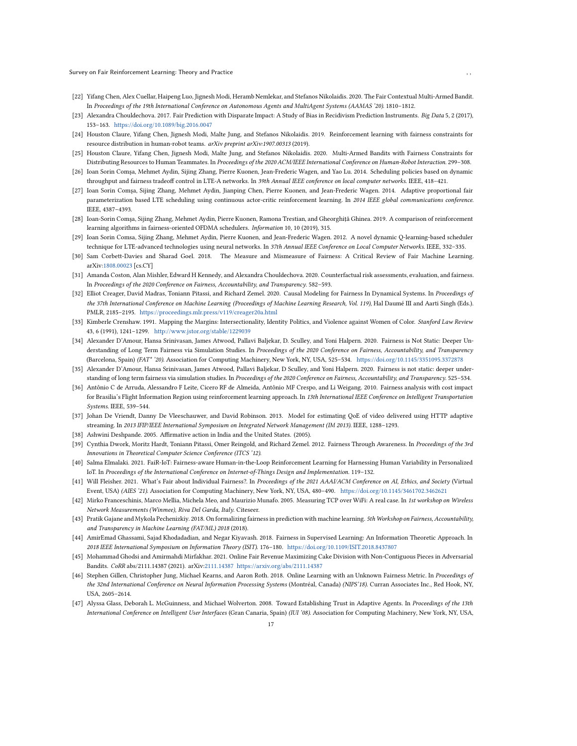Survey on Fair Reinforcement Learning: Theory and Practice , ,

- [22] Yifang Chen, Alex Cuellar, Haipeng Luo, Jignesh Modi, Heramb Nemlekar, and Stefanos Nikolaidis. 2020. The Fair Contextual Multi-Armed Bandit. In Proceedings of the 19th International Conference on Autonomous Agents and MultiAgent Systems (AAMAS '20). 1810–1812.
- [23] Alexandra Chouldechova. 2017. Fair Prediction with Disparate Impact: A Study of Bias in Recidivism Prediction Instruments. Big Data 5, 2 (2017), 153–163. <https://doi.org/10.1089/big.2016.0047>
- <span id="page-16-11"></span>[24] Houston Claure, Yifang Chen, Jignesh Modi, Malte Jung, and Stefanos Nikolaidis. 2019. Reinforcement learning with fairness constraints for resource distribution in human-robot teams. arXiv preprint arXiv:1907.00313 (2019).
- [25] Houston Claure, Yifang Chen, Jignesh Modi, Malte Jung, and Stefanos Nikolaidis. 2020. Multi-Armed Bandits with Fairness Constraints for Distributing Resources to Human Teammates. In Proceedings of the 2020 ACM/IEEE International Conference on Human-Robot Interaction. 299–308.
- <span id="page-16-6"></span>[26] Ioan Sorin Comşa, Mehmet Aydin, Sijing Zhang, Pierre Kuonen, Jean-Frederic Wagen, and Yao Lu. 2014. Scheduling policies based on dynamic throughput and fairness tradeoff control in LTE-A networks. In 39th Annual IEEE conference on local computer networks. IEEE, 418–421.
- <span id="page-16-7"></span>[27] Ioan Sorin Comşa, Sijing Zhang, Mehmet Aydin, Jianping Chen, Pierre Kuonen, and Jean-Frederic Wagen. 2014. Adaptive proportional fair parameterization based LTE scheduling using continuous actor-critic reinforcement learning. In 2014 IEEE global communications conference. IEEE, 4387–4393.
- <span id="page-16-8"></span>[28] Ioan-Sorin Comşa, Sijing Zhang, Mehmet Aydin, Pierre Kuonen, Ramona Trestian, and Gheorghit,ă Ghinea. 2019. A comparison of reinforcement learning algorithms in fairness-oriented OFDMA schedulers. Information 10, 10 (2019), 315.
- <span id="page-16-5"></span>[29] Ioan Sorin Comsa, Sijing Zhang, Mehmet Aydin, Pierre Kuonen, and Jean-Frederic Wagen. 2012. A novel dynamic Q-learning-based scheduler technique for LTE-advanced technologies using neural networks. In 37th Annual IEEE Conference on Local Computer Networks. IEEE, 332–335.
- <span id="page-16-12"></span>[30] Sam Corbett-Davies and Sharad Goel. 2018. The Measure and Mismeasure of Fairness: A Critical Review of Fair Machine Learning. arXiv[:1808.00023](https://arxiv.org/abs/1808.00023) [cs.CY]
- <span id="page-16-16"></span>[31] Amanda Coston, Alan Mishler, Edward H Kennedy, and Alexandra Chouldechova. 2020. Counterfactual risk assessments, evaluation, and fairness. In Proceedings of the 2020 Conference on Fairness, Accountability, and Transparency. 582–593.
- <span id="page-16-2"></span>[32] Elliot Creager, David Madras, Toniann Pitassi, and Richard Zemel. 2020. Causal Modeling for Fairness In Dynamical Systems. In Proceedings of the 37th International Conference on Machine Learning (Proceedings of Machine Learning Research, Vol. 119), Hal Daumé III and Aarti Singh (Eds.). PMLR, 2185–2195. <https://proceedings.mlr.press/v119/creager20a.html>
- [33] Kimberle Crenshaw. 1991. Mapping the Margins: Intersectionality, Identity Politics, and Violence against Women of Color. Stanford Law Review 43, 6 (1991), 1241–1299. <http://www.jstor.org/stable/1229039>
- [34] Alexander D'Amour, Hansa Srinivasan, James Atwood, Pallavi Baljekar, D. Sculley, and Yoni Halpern. 2020. Fairness is Not Static: Deeper Understanding of Long Term Fairness via Simulation Studies. In Proceedings of the 2020 Conference on Fairness, Accountability, and Transparency (Barcelona, Spain) (FAT\* '20). Association for Computing Machinery, New York, NY, USA, 525–534. <https://doi.org/10.1145/3351095.3372878>
- <span id="page-16-15"></span>[35] Alexander D'Amour, Hansa Srinivasan, James Atwood, Pallavi Baljekar, D Sculley, and Yoni Halpern. 2020. Fairness is not static: deeper understanding of long term fairness via simulation studies. In Proceedings of the 2020 Conference on Fairness, Accountability, and Transparency. 525–534.
- <span id="page-16-10"></span>[36] Antônio C de Arruda, Alessandro F Leite, Cicero RF de Almeida, Antônio MF Crespo, and Li Weigang. 2010. Fairness analysis with cost impact for Brasilia's Flight Information Region using reinforcement learning approach. In 13th International IEEE Conference on Intelligent Transportation Systems. IEEE, 539–544.
- <span id="page-16-4"></span>[37] Johan De Vriendt, Danny De Vleeschauwer, and David Robinson. 2013. Model for estimating QoE of video delivered using HTTP adaptive streaming. In 2013 IFIP/IEEE International Symposium on Integrated Network Management (IM 2013). IEEE, 1288–1293.
- <span id="page-16-14"></span>[38] Ashwini Deshpande. 2005. Affirmative action in India and the United States. (2005).
- <span id="page-16-13"></span>[39] Cynthia Dwork, Moritz Hardt, Toniann Pitassi, Omer Reingold, and Richard Zemel. 2012. Fairness Through Awareness. In Proceedings of the 3rd Innovations in Theoretical Computer Science Conference (ITCS '12).
- <span id="page-16-9"></span>[40] Salma Elmalaki. 2021. FaiR-IoT: Fairness-aware Human-in-the-Loop Reinforcement Learning for Harnessing Human Variability in Personalized IoT. In Proceedings of the International Conference on Internet-of-Things Design and Implementation. 119–132.
- [41] Will Fleisher. 2021. What's Fair about Individual Fairness?. In Proceedings of the 2021 AAAI/ACM Conference on AI, Ethics, and Society (Virtual Event, USA) (AIES '21). Association for Computing Machinery, New York, NY, USA, 480–490. <https://doi.org/10.1145/3461702.3462621>
- <span id="page-16-3"></span>[42] Mirko Franceschinis, Marco Mellia, Michela Meo, and Maurizio Munafo, 2005. Measuring TCP over WiFi: A real case. In 1st workshop on Wireless Network Measurements (Winmee), Riva Del Garda, Italy. Citeseer.
- <span id="page-16-0"></span>[43] Pratik Gajane and Mykola Pechenizkiy. 2018. On formalizing fairness in prediction with machine learning. 5th Workshop on Fairness, Accountability, and Transparency in Machine Learning (FAT/ML) 2018 (2018).
- <span id="page-16-1"></span>[44] AmirEmad Ghassami, Sajad Khodadadian, and Negar Kiyavash. 2018. Fairness in Supervised Learning: An Information Theoretic Approach. In 2018 IEEE International Symposium on Information Theory (ISIT). 176–180. <https://doi.org/10.1109/ISIT.2018.8437807>
- [45] Mohammad Ghodsi and Amirmahdi Mirfakhar. 2021. Online Fair Revenue Maximizing Cake Division with Non-Contiguous Pieces in Adversarial Bandits. CoRR abs/2111.14387 (2021). arXiv[:2111.14387 https://arxiv.org/abs/2111.14387](https://arxiv.org/abs/2111.14387)
- [46] Stephen Gillen, Christopher Jung, Michael Kearns, and Aaron Roth. 2018. Online Learning with an Unknown Fairness Metric. In Proceedings of the 32nd International Conference on Neural Information Processing Systems (Montréal, Canada) (NIPS'18). Curran Associates Inc., Red Hook, NY, USA, 2605–2614.
- [47] Alyssa Glass, Deborah L. McGuinness, and Michael Wolverton. 2008. Toward Establishing Trust in Adaptive Agents. In Proceedings of the 13th International Conference on Intelligent User Interfaces (Gran Canaria, Spain) (IUI '08). Association for Computing Machinery, New York, NY, USA,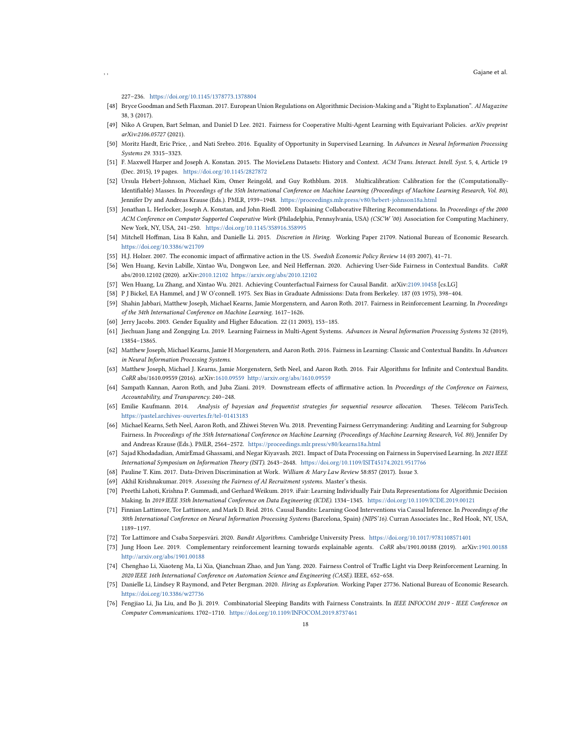227–236. <https://doi.org/10.1145/1378773.1378804>

- <span id="page-17-21"></span>[48] Bryce Goodman and Seth Flaxman. 2017. European Union Regulations on Algorithmic Decision-Making and a "Right to Explanation". AI Magazine 38, 3 (2017).
- <span id="page-17-13"></span>[49] Niko A Grupen, Bart Selman, and Daniel D Lee. 2021. Fairness for Cooperative Multi-Agent Learning with Equivariant Policies. arXiv preprint arXiv:2106.05727 (2021).
- <span id="page-17-5"></span>[50] Moritz Hardt, Eric Price, , and Nati Srebro. 2016. Equality of Opportunity in Supervised Learning. In Advances in Neural Information Processing Systems 29. 3315–3323.
- [51] F. Maxwell Harper and Joseph A. Konstan. 2015. The MovieLens Datasets: History and Context. ACM Trans. Interact. Intell. Syst. 5, 4, Article 19 (Dec. 2015), 19 pages. <https://doi.org/10.1145/2827872>
- <span id="page-17-19"></span>[52] Ursula Hebert-Johnson, Michael Kim, Omer Reingold, and Guy Rothblum. 2018. Multicalibration: Calibration for the (Computationally-Identifiable) Masses. In Proceedings of the 35th International Conference on Machine Learning (Proceedings of Machine Learning Research, Vol. 80), Jennifer Dy and Andreas Krause (Eds.). PMLR, 1939–1948. <https://proceedings.mlr.press/v80/hebert-johnson18a.html>
- [53] Jonathan L. Herlocker, Joseph A. Konstan, and John Riedl. 2000. Explaining Collaborative Filtering Recommendations. In Proceedings of the 2000 ACM Conference on Computer Supported Cooperative Work (Philadelphia, Pennsylvania, USA) (CSCW '00). Association for Computing Machinery, New York, NY, USA, 241–250. <https://doi.org/10.1145/358916.358995>
- <span id="page-17-2"></span>[54] Mitchell Hoffman, Lisa B Kahn, and Danielle Li. 2015. Discretion in Hiring. Working Paper 21709. National Bureau of Economic Research. <https://doi.org/10.3386/w21709>
- <span id="page-17-15"></span>[55] H.J. Holzer. 2007. The economic impact of affirmative action in the US. Swedish Economic Policy Review 14 (03 2007), 41–71.
- [56] Wen Huang, Kevin Labille, Xintao Wu, Dongwon Lee, and Neil Heffernan. 2020. Achieving User-Side Fairness in Contextual Bandits. CoRR abs/2010.12102 (2020). arXiv[:2010.12102 https://arxiv.org/abs/2010.12102](https://arxiv.org/abs/2010.12102)
- <span id="page-17-11"></span>[57] Wen Huang, Lu Zhang, and Xintao Wu. 2021. Achieving Counterfactual Fairness for Causal Bandit. arXiv[:2109.10458](https://arxiv.org/abs/2109.10458) [cs.LG]
- <span id="page-17-16"></span>[58] P J Bickel, EA Hammel, and J W O'connell. 1975. Sex Bias in Graduate Admissions: Data from Berkeley. 187 (03 1975), 398–404.
- <span id="page-17-9"></span>[59] Shahin Jabbari, Matthew Joseph, Michael Kearns, Jamie Morgenstern, and Aaron Roth. 2017. Fairness in Reinforcement Learning. In Proceedings of the 34th International Conference on Machine Learning. 1617–1626.
- <span id="page-17-17"></span>[60] Jerry Jacobs. 2003. Gender Equality and Higher Education. 22 (11 2003), 153–185.
- <span id="page-17-12"></span>[61] Jiechuan Jiang and Zongqing Lu. 2019. Learning Fairness in Multi-Agent Systems. Advances in Neural Information Processing Systems 32 (2019), 13854–13865.
- <span id="page-17-8"></span>[62] Matthew Joseph, Michael Kearns, Jamie H Morgenstern, and Aaron Roth. 2016. Fairness in Learning: Classic and Contextual Bandits. In Advances in Neural Information Processing Systems.
- [63] Matthew Joseph, Michael J. Kearns, Jamie Morgenstern, Seth Neel, and Aaron Roth. 2016. Fair Algorithms for Infinite and Contextual Bandits. CoRR abs/1610.09559 (2016). arXiv[:1610.09559](https://arxiv.org/abs/1610.09559)<http://arxiv.org/abs/1610.09559>
- <span id="page-17-14"></span>[64] Sampath Kannan, Aaron Roth, and Juba Ziani. 2019. Downstream effects of affirmative action. In Proceedings of the Conference on Fairness, Accountability, and Transparency. 240–248.
- <span id="page-17-6"></span>[65] Emilie Kaufmann. 2014. Analysis of bayesian and frequentist strategies for sequential resource allocation. Theses. Télécom ParisTech. <https://pastel.archives-ouvertes.fr/tel-01413183>
- <span id="page-17-18"></span>[66] Michael Kearns, Seth Neel, Aaron Roth, and Zhiwei Steven Wu. 2018. Preventing Fairness Gerrymandering: Auditing and Learning for Subgroup Fairness. In Proceedings of the 35th International Conference on Machine Learning (Proceedings of Machine Learning Research, Vol. 80), Jennifer Dy and Andreas Krause (Eds.). PMLR, 2564–2572. <https://proceedings.mlr.press/v80/kearns18a.html>
- <span id="page-17-4"></span>[67] Sajad Khodadadian, AmirEmad Ghassami, and Negar Kiyavash. 2021. Impact of Data Processing on Fairness in Supervised Learning. In 2021 IEEE International Symposium on Information Theory (ISIT). 2643–2648. <https://doi.org/10.1109/ISIT45174.2021.9517766>
- <span id="page-17-3"></span>[68] Pauline T. Kim. 2017. Data-Driven Discrimination at Work. William & Mary Law Review 58:857 (2017). Issue 3.
- <span id="page-17-0"></span>[69] Akhil Krishnakumar. 2019. Assessing the Fairness of AI Recruitment systems. Master's thesis.
- <span id="page-17-20"></span>[70] Preethi Lahoti, Krishna P. Gummadi, and Gerhard Weikum. 2019. iFair: Learning Individually Fair Data Representations for Algorithmic Decision Making. In 2019 IEEE 35th International Conference on Data Engineering (ICDE). 1334–1345. <https://doi.org/10.1109/ICDE.2019.00121>
- [71] Finnian Lattimore, Tor Lattimore, and Mark D. Reid. 2016. Causal Bandits: Learning Good Interventions via Causal Inference. In Proceedings of the 30th International Conference on Neural Information Processing Systems (Barcelona, Spain) (NIPS'16). Curran Associates Inc., Red Hook, NY, USA, 1189–1197.
- <span id="page-17-22"></span>[72] Tor Lattimore and Csaba Szepesvári. 2020. Bandit Algorithms. Cambridge University Press. <https://doi.org/10.1017/9781108571401>
- [73] Jung Hoon Lee. 2019. Complementary reinforcement learning towards explainable agents. CoRR abs/1901.00188 (2019). arXiv[:1901.00188](https://arxiv.org/abs/1901.00188) <http://arxiv.org/abs/1901.00188>
- <span id="page-17-7"></span>[74] Chenghao Li, Xiaoteng Ma, Li Xia, Qianchuan Zhao, and Jun Yang. 2020. Fairness Control of Traffic Light via Deep Reinforcement Learning. In 2020 IEEE 16th International Conference on Automation Science and Engineering (CASE). IEEE, 652–658.
- <span id="page-17-1"></span>[75] Danielle Li, Lindsey R Raymond, and Peter Bergman. 2020. Hiring as Exploration. Working Paper 27736. National Bureau of Economic Research. <https://doi.org/10.3386/w27736>
- <span id="page-17-10"></span>[76] Fengjiao Li, Jia Liu, and Bo Ji. 2019. Combinatorial Sleeping Bandits with Fairness Constraints. In IEEE INFOCOM 2019 - IEEE Conference on Computer Communications. 1702–1710. <https://doi.org/10.1109/INFOCOM.2019.8737461>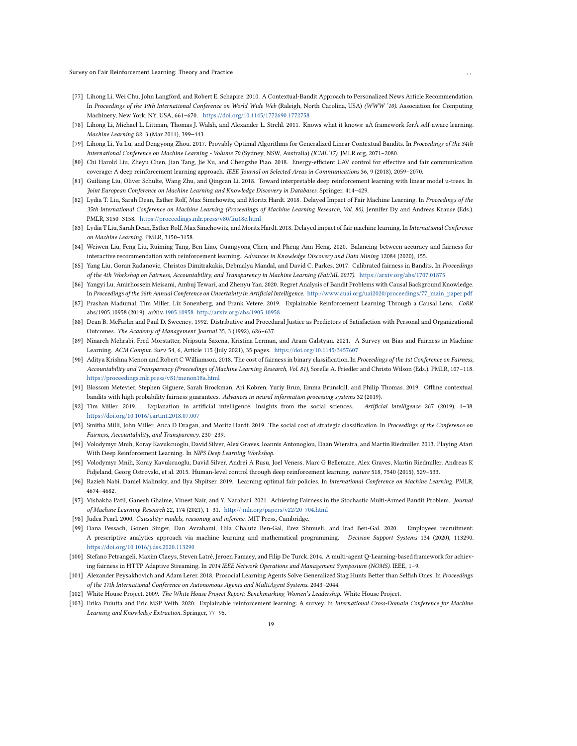Survey on Fair Reinforcement Learning: Theory and Practice , ,

- [77] Lihong Li, Wei Chu, John Langford, and Robert E. Schapire. 2010. A Contextual-Bandit Approach to Personalized News Article Recommendation. In Proceedings of the 19th International Conference on World Wide Web (Raleigh, North Carolina, USA) (WWW '10). Association for Computing Machinery, New York, NY, USA, 661–670. <https://doi.org/10.1145/1772690.1772758>
- <span id="page-18-11"></span>[78] Lihong Li, Michael L. Littman, Thomas J. Walsh, and Alexander L. Strehl. 2011. Knows what it knows: a framework forÂ self-aware learning. Machine Learning 82, 3 (Mar 2011), 399–443.
- [79] Lihong Li, Yu Lu, and Dengyong Zhou. 2017. Provably Optimal Algorithms for Generalized Linear Contextual Bandits. In Proceedings of the 34th International Conference on Machine Learning - Volume 70 (Sydney, NSW, Australia) (ICML'17). JMLR.org, 2071–2080.
- <span id="page-18-7"></span>[80] Chi Harold Liu, Zheyu Chen, Jian Tang, Jie Xu, and Chengzhe Piao. 2018. Energy-efficient UAV control for effective and fair communication coverage: A deep reinforcement learning approach. IEEE Journal on Selected Areas in Communications 36, 9 (2018), 2059–2070.
- <span id="page-18-21"></span>[81] Guiliang Liu, Oliver Schulte, Wang Zhu, and Qingcan Li. 2018. Toward interpretable deep reinforcement learning with linear model u-trees. In Joint European Conference on Machine Learning and Knowledge Discovery in Databases. Springer, 414–429.
- <span id="page-18-1"></span>[82] Lydia T. Liu, Sarah Dean, Esther Rolf, Max Simchowitz, and Moritz Hardt. 2018. Delayed Impact of Fair Machine Learning. In Proceedings of the 35th International Conference on Machine Learning (Proceedings of Machine Learning Research, Vol. 80), Jennifer Dy and Andreas Krause (Eds.). PMLR, 3150–3158. <https://proceedings.mlr.press/v80/liu18c.html>
- <span id="page-18-15"></span>[83] Lydia T Liu, Sarah Dean, Esther Rolf, Max Simchowitz, and Moritz Hardt. 2018. Delayed impact of fair machine learning. In International Conference on Machine Learning. PMLR, 3150–3158.
- <span id="page-18-6"></span>[84] Weiwen Liu, Feng Liu, Ruiming Tang, Ben Liao, Guangyong Chen, and Pheng Ann Heng. 2020. Balancing between accuracy and fairness for interactive recommendation with reinforcement learning. Advances in Knowledge Discovery and Data Mining 12084 (2020), 155.
- <span id="page-18-9"></span>[85] Yang Liu, Goran Radanovic, Christos Dimitrakakis, Debmalya Mandal, and David C. Parkes. 2017. Calibrated fairness in Bandits. In Proceedings of the 4th Workshop on Fairness, Accountability, and Transparency in Machine Learning (Fat/ML 2017). <https://arxiv.org/abs/1707.01875>
- <span id="page-18-12"></span>[86] Yangyi Lu, Amirhossein Meisami, Ambuj Tewari, and Zhenyu Yan. 2020. Regret Analysis of Bandit Problems with Causal Background Knowledge. In Proceedings of the 36th Annual Conference on Uncertainty in Artificial Intelligence. [http://www.auai.org/uai2020/proceedings/77\\_main\\_paper.pdf](http://www.auai.org/uai2020/proceedings/77_main_paper.pdf)
- [87] Prashan Madumal, Tim Miller, Liz Sonenberg, and Frank Vetere. 2019. Explainable Reinforcement Learning Through a Causal Lens. CoRR abs/1905.10958 (2019). arXiv[:1905.10958](https://arxiv.org/abs/1905.10958)<http://arxiv.org/abs/1905.10958>
- <span id="page-18-8"></span>[88] Dean B. McFarlin and Paul D. Sweeney. 1992. Distributive and Procedural Justice as Predictors of Satisfaction with Personal and Organizational Outcomes. The Academy of Management Journal 35, 3 (1992), 626–637.
- <span id="page-18-0"></span>[89] Ninareh Mehrabi, Fred Morstatter, Nripsuta Saxena, Kristina Lerman, and Aram Galstyan. 2021. A Survey on Bias and Fairness in Machine Learning. ACM Comput. Surv. 54, 6, Article 115 (July 2021), 35 pages. <https://doi.org/10.1145/3457607>
- <span id="page-18-19"></span>[90] Aditya Krishna Menon and Robert C Williamson. 2018. The cost of fairness in binary classification. In Proceedings of the 1st Conference on Fairness, Accountability and Transparency (Proceedings of Machine Learning Research, Vol. 81), Sorelle A. Friedler and Christo Wilson (Eds.). PMLR, 107–118. <https://proceedings.mlr.press/v81/menon18a.html>
- <span id="page-18-18"></span>[91] Blossom Metevier, Stephen Giguere, Sarah Brockman, Ari Kobren, Yuriy Brun, Emma Brunskill, and Philip Thomas. 2019. Offline contextual bandits with high probability fairness guarantees. Advances in neural information processing systems 32 (2019).
- <span id="page-18-23"></span>[92] Tim Miller. 2019. Explanation in artificial intelligence: Insights from the social sciences. Artificial Intelligence 267 (2019), 1–38. <https://doi.org/10.1016/j.artint.2018.07.007>
- <span id="page-18-16"></span>[93] Smitha Milli, John Miller, Anca D Dragan, and Moritz Hardt. 2019. The social cost of strategic classification. In Proceedings of the Conference on Fairness, Accountability, and Transparency. 230–239.
- <span id="page-18-2"></span>[94] Volodymyr Mnih, Koray Kavukcuoglu, David Silver, Alex Graves, Ioannis Antonoglou, Daan Wierstra, and Martin Riedmiller. 2013. Playing Atari With Deep Reinforcement Learning. In NIPS Deep Learning Workshop.
- <span id="page-18-4"></span>[95] Volodymyr Mnih, Koray Kavukcuoglu, David Silver, Andrei A Rusu, Joel Veness, Marc G Bellemare, Alex Graves, Martin Riedmiller, Andreas K Fidjeland, Georg Ostrovski, et al. 2015. Human-level control through deep reinforcement learning. nature 518, 7540 (2015), 529–533.
- <span id="page-18-13"></span>[96] Razieh Nabi, Daniel Malinsky, and Ilya Shpitser. 2019. Learning optimal fair policies. In International Conference on Machine Learning. PMLR, 4674–4682.
- <span id="page-18-10"></span>[97] Vishakha Patil, Ganesh Ghalme, Vineet Nair, and Y. Narahari. 2021. Achieving Fairness in the Stochastic Multi-Armed Bandit Problem. Journal of Machine Learning Research 22, 174 (2021), 1–31. <http://jmlr.org/papers/v22/20-704.html>
- <span id="page-18-3"></span>[98] Judea Pearl. 2000. Causality: models, reasoning and inferenc. MIT Press, Cambridge.
- <span id="page-18-17"></span>[99] Dana Pessach, Gonen Singer, Dan Avrahami, Hila Chalutz Ben-Gal, Erez Shmueli, and Irad Ben-Gal. 2020. Employees recruitment: A prescriptive analytics approach via machine learning and mathematical programming. Decision Support Systems 134 (2020), 113290. <https://doi.org/10.1016/j.dss.2020.113290>
- <span id="page-18-5"></span>[100] Stefano Petrangeli, Maxim Claeys, Steven Latré, Jeroen Famaey, and Filip De Turck. 2014. A multi-agent Q-Learning-based framework for achieving fairness in HTTP Adaptive Streaming. In 2014 IEEE Network Operations and Management Symposium (NOMS). IEEE, 1–9.
- <span id="page-18-14"></span>[101] Alexander Peysakhovich and Adam Lerer. 2018. Prosocial Learning Agents Solve Generalized Stag Hunts Better than Selfish Ones. In Proceedings of the 17th International Conference on Autonomous Agents and MultiAgent Systems. 2043–2044.
- <span id="page-18-20"></span>[102] White House Project. 2009. The White House Project Report: Benchmarking Women's Leadership. White House Project.
- <span id="page-18-22"></span>[103] Erika Puiutta and Eric MSP Veith. 2020. Explainable reinforcement learning: A survey. In International Cross-Domain Conference for Machine Learning and Knowledge Extraction. Springer, 77–95.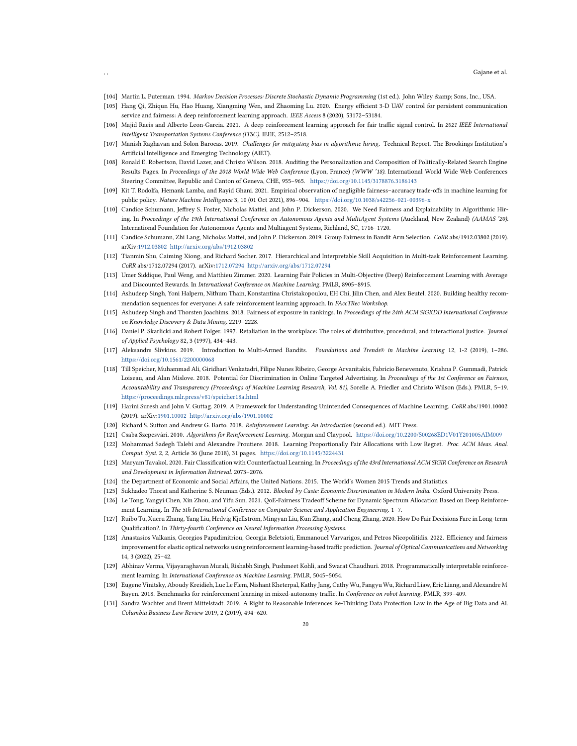- [104] Martin L. Puterman. 1994. Markov Decision Processes: Discrete Stochastic Dynamic Programming (1st ed.). John Wiley & amp; Sons, Inc., USA.
- <span id="page-19-8"></span>[105] Hang Qi, Zhiqun Hu, Hao Huang, Xiangming Wen, and Zhaoming Lu. 2020. Energy efficient 3-D UAV control for persistent communication service and fairness: A deep reinforcement learning approach. IEEE Access 8 (2020), 53172–53184.
- <span id="page-19-7"></span>[106] Majid Raeis and Alberto Leon-Garcia. 2021. A deep reinforcement learning approach for fair traffic signal control. In 2021 IEEE International Intelligent Transportation Systems Conference (ITSC). IEEE, 2512–2518.
- <span id="page-19-0"></span>[107] Manish Raghavan and Solon Barocas. 2019. Challenges for mitigating bias in algorithmic hiring. Technical Report. The Brookings Institution's Artificial Intelligence and Emerging Technology (AIET).
- [108] Ronald E. Robertson, David Lazer, and Christo Wilson. 2018. Auditing the Personalization and Composition of Politically-Related Search Engine Results Pages. In Proceedings of the 2018 World Wide Web Conference (Lyon, France) (WWW '18). International World Wide Web Conferences Steering Committee, Republic and Canton of Geneva, CHE, 955–965. <https://doi.org/10.1145/3178876.3186143>
- <span id="page-19-15"></span>[109] Kit T. Rodolfa, Hemank Lamba, and Rayid Ghani. 2021. Empirical observation of negligible fairness–accuracy trade-offs in machine learning for public policy. Nature Machine Intelligence 3, 10 (01 Oct 2021), 896–904. <https://doi.org/10.1038/s42256-021-00396-x>
- [110] Candice Schumann, Jeffrey S. Foster, Nicholas Mattei, and John P. Dickerson. 2020. We Need Fairness and Explainability in Algorithmic Hiring. In Proceedings of the 19th International Conference on Autonomous Agents and MultiAgent Systems (Auckland, New Zealand) (AAMAS '20). International Foundation for Autonomous Agents and Multiagent Systems, Richland, SC, 1716–1720.
- [111] Candice Schumann, Zhi Lang, Nicholas Mattei, and John P. Dickerson. 2019. Group Fairness in Bandit Arm Selection. CoRR abs/1912.03802 (2019). arXiv[:1912.03802](https://arxiv.org/abs/1912.03802)<http://arxiv.org/abs/1912.03802>
- [112] Tianmin Shu, Caiming Xiong, and Richard Socher. 2017. Hierarchical and Interpretable Skill Acquisition in Multi-task Reinforcement Learning. CoRR abs/1712.07294 (2017). arXiv[:1712.07294](https://arxiv.org/abs/1712.07294)<http://arxiv.org/abs/1712.07294>
- <span id="page-19-13"></span>[113] Umer Siddique, Paul Weng, and Matthieu Zimmer. 2020. Learning Fair Policies in Multi-Objective (Deep) Reinforcement Learning with Average and Discounted Rewards. In International Conference on Machine Learning. PMLR, 8905–8915.
- <span id="page-19-12"></span>[114] Ashudeep Singh, Yoni Halpern, Nithum Thain, Konstantina Christakopoulou, EH Chi, Jilin Chen, and Alex Beutel. 2020. Building healthy recommendation sequences for everyone: A safe reinforcement learning approach. In FAccTRec Workshop.
- <span id="page-19-3"></span>[115] Ashudeep Singh and Thorsten Joachims. 2018. Fairness of exposure in rankings. In Proceedings of the 24th ACM SIGKDD International Conference on Knowledge Discovery & Data Mining. 2219–2228.
- <span id="page-19-9"></span>[116] Daniel P. Skarlicki and Robert Folger. 1997. Retaliation in the workplace: The roles of distributive, procedural, and interactional justice. Journal of Applied Psychology 82, 3 (1997), 434–443.
- <span id="page-19-20"></span>[117] Aleksandrs Slivkins. 2019. Introduction to Multi-Armed Bandits. Foundations and Trends® in Machine Learning 12, 1-2 (2019), 1–286. <https://doi.org/10.1561/2200000068>
- <span id="page-19-10"></span>[118] Till Speicher, Muhammad Ali, Giridhari Venkatadri, Filipe Nunes Ribeiro, George Arvanitakis, Fabrício Benevenuto, Krishna P. Gummadi, Patrick Loiseau, and Alan Mislove. 2018. Potential for Discrimination in Online Targeted Advertising. In Proceedings of the 1st Conference on Fairness, Accountability and Transparency (Proceedings of Machine Learning Research, Vol. 81), Sorelle A. Friedler and Christo Wilson (Eds.). PMLR, 5–19. <https://proceedings.mlr.press/v81/speicher18a.html>
- [119] Harini Suresh and John V. Guttag. 2019. A Framework for Understanding Unintended Consequences of Machine Learning. CoRR abs/1901.10002 (2019). arXiv[:1901.10002](https://arxiv.org/abs/1901.10002)<http://arxiv.org/abs/1901.10002>
- <span id="page-19-1"></span>[120] Richard S. Sutton and Andrew G. Barto. 2018. Reinforcement Learning: An Introduction (second ed.). MIT Press.
- <span id="page-19-2"></span>[121] Csaba Szepesvári. 2010. Algorithms for Reinforcement Learning. Morgan and Claypool. <https://doi.org/10.2200/S00268ED1V01Y201005AIM009>
- [122] Mohammad Sadegh Talebi and Alexandre Proutiere. 2018. Learning Proportionally Fair Allocations with Low Regret. Proc. ACM Meas. Anal. Comput. Syst. 2, 2, Article 36 (June 2018), 31 pages. <https://doi.org/10.1145/3224431>
- <span id="page-19-14"></span>[123] Maryam Tavakol. 2020. Fair Classification with Counterfactual Learning. In Proceedings of the 43rd International ACM SIGIR Conference on Research and Development in Information Retrieval. 2073–2076.
- <span id="page-19-17"></span>[124] the Department of Economic and Social Affairs, the United Nations. 2015. The World's Women 2015 Trends and Statistics.
- <span id="page-19-16"></span>[125] Sukhadeo Thorat and Katherine S. Neuman (Eds.). 2012. Blocked by Caste: Economic Discrimination in Modern India. Oxford University Press.
- <span id="page-19-4"></span>[126] Le Tong, Yangyi Chen, Xin Zhou, and Yifu Sun. 2021. QoE-Fairness Tradeoff Scheme for Dynamic Spectrum Allocation Based on Deep Reinforcement Learning. In The 5th International Conference on Computer Science and Application Engineering. 1–7.
- <span id="page-19-11"></span>[127] Ruibo Tu, Xueru Zhang, Yang Liu, Hedvig Kjellström, Mingyan Liu, Kun Zhang, and Cheng Zhang. 2020. How Do Fair Decisions Fare in Long-term Qualification?. In Thirty-fourth Conference on Neural Information Processing Systems.
- <span id="page-19-5"></span>[128] Anastasios Valkanis, Georgios Papadimitriou, Georgia Beletsioti, Emmanouel Varvarigos, and Petros Nicopolitidis. 2022. Efficiency and fairness improvement for elastic optical networks using reinforcement learning-based traffic prediction. Journal of Optical Communications and Networking 14, 3 (2022), 25–42.
- <span id="page-19-19"></span>[129] Abhinav Verma, Vijayaraghavan Murali, Rishabh Singh, Pushmeet Kohli, and Swarat Chaudhuri. 2018. Programmatically interpretable reinforcement learning. In International Conference on Machine Learning. PMLR, 5045–5054.
- <span id="page-19-6"></span>[130] Eugene Vinitsky, Aboudy Kreidieh, Luc Le Flem, Nishant Kheterpal, Kathy Jang, Cathy Wu, Fangyu Wu, Richard Liaw, Eric Liang, and Alexandre M Bayen. 2018. Benchmarks for reinforcement learning in mixed-autonomy traffic. In Conference on robot learning. PMLR, 399–409.
- <span id="page-19-18"></span>[131] Sandra Wachter and Brent Mittelstadt. 2019. A Right to Reasonable Inferences Re-Thinking Data Protection Law in the Age of Big Data and AI. Columbia Business Law Review 2019, 2 (2019), 494–620.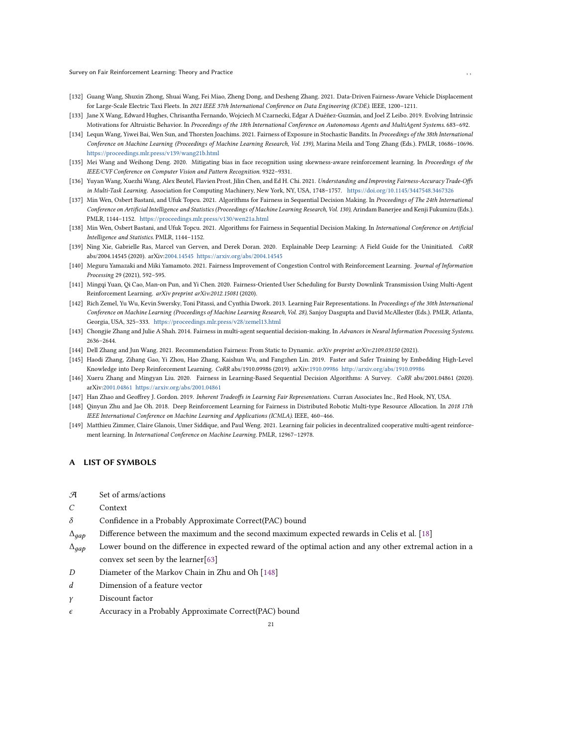Survey on Fair Reinforcement Learning: Theory and Practice , ,

- <span id="page-20-4"></span>[132] Guang Wang, Shuxin Zhong, Shuai Wang, Fei Miao, Zheng Dong, and Desheng Zhang. 2021. Data-Driven Fairness-Aware Vehicle Displacement for Large-Scale Electric Taxi Fleets. In 2021 IEEE 37th International Conference on Data Engineering (ICDE). IEEE, 1200–1211.
- <span id="page-20-11"></span>[133] Jane X Wang, Edward Hughes, Chrisantha Fernando, Wojciech M Czarnecki, Edgar A Duéñez-Guzmán, and Joel Z Leibo. 2019. Evolving Intrinsic Motivations for Altruistic Behavior. In Proceedings of the 18th International Conference on Autonomous Agents and MultiAgent Systems. 683–692.
- <span id="page-20-8"></span>[134] Lequn Wang, Yiwei Bai, Wen Sun, and Thorsten Joachims. 2021. Fairness of Exposure in Stochastic Bandits. In Proceedings of the 38th International Conference on Machine Learning (Proceedings of Machine Learning Research, Vol. 139), Marina Meila and Tong Zhang (Eds.). PMLR, 10686–10696. <https://proceedings.mlr.press/v139/wang21b.html>
- <span id="page-20-0"></span>[135] Mei Wang and Weihong Deng. 2020. Mitigating bias in face recognition using skewness-aware reinforcement learning. In Proceedings of the IEEE/CVF Conference on Computer Vision and Pattern Recognition. 9322–9331.
- [136] Yuyan Wang, Xuezhi Wang, Alex Beutel, Flavien Prost, Jilin Chen, and Ed H. Chi. 2021. Understanding and Improving Fairness-Accuracy Trade-Offs in Multi-Task Learning. Association for Computing Machinery, New York, NY, USA, 1748–1757. <https://doi.org/10.1145/3447548.3467326>
- <span id="page-20-7"></span>[137] Min Wen, Osbert Bastani, and Ufuk Topcu. 2021. Algorithms for Fairness in Sequential Decision Making. In Proceedings of The 24th International Conference on Artificial Intelligence and Statistics (Proceedings of Machine Learning Research, Vol. 130), Arindam Banerjee and Kenji Fukumizu (Eds.). PMLR, 1144–1152. <https://proceedings.mlr.press/v130/wen21a.html>
- <span id="page-20-12"></span>[138] Min Wen, Osbert Bastani, and Ufuk Topcu. 2021. Algorithms for Fairness in Sequential Decision Making. In International Conference on Artificial Intelligence and Statistics. PMLR, 1144–1152.
- [139] Ning Xie, Gabrielle Ras, Marcel van Gerven, and Derek Doran. 2020. Explainable Deep Learning: A Field Guide for the Uninitiated. CoRR abs/2004.14545 (2020). arXiv[:2004.14545 https://arxiv.org/abs/2004.14545](https://arxiv.org/abs/2004.14545)
- <span id="page-20-1"></span>[140] Meguru Yamazaki and Miki Yamamoto. 2021. Fairness Improvement of Congestion Control with Reinforcement Learning. Journal of Information Processing 29 (2021), 592–595.
- <span id="page-20-2"></span>[141] Mingqi Yuan, Qi Cao, Man-on Pun, and Yi Chen. 2020. Fairness-Oriented User Scheduling for Bursty Downlink Transmission Using Multi-Agent Reinforcement Learning. arXiv preprint arXiv:2012.15081 (2020).
- <span id="page-20-13"></span>[142] Rich Zemel, Yu Wu, Kevin Swersky, Toni Pitassi, and Cynthia Dwork. 2013. Learning Fair Representations. In Proceedings of the 30th International Conference on Machine Learning (Proceedings of Machine Learning Research, Vol. 28), Sanjoy Dasgupta and David McAllester (Eds.). PMLR, Atlanta, Georgia, USA, 325–333. <https://proceedings.mlr.press/v28/zemel13.html>
- <span id="page-20-9"></span>[143] Chongjie Zhang and Julie A Shah. 2014. Fairness in multi-agent sequential decision-making. In Advances in Neural Information Processing Systems. 2636–2644.
- <span id="page-20-3"></span>[144] Dell Zhang and Jun Wang. 2021. Recommendation Fairness: From Static to Dynamic. arXiv preprint arXiv:2109.03150 (2021).
- [145] Haodi Zhang, Zihang Gao, Yi Zhou, Hao Zhang, Kaishun Wu, and Fangzhen Lin. 2019. Faster and Safer Training by Embedding High-Level Knowledge into Deep Reinforcement Learning. CoRR abs/1910.09986 (2019). arXiv[:1910.09986](https://arxiv.org/abs/1910.09986)<http://arxiv.org/abs/1910.09986>
- [146] Xueru Zhang and Mingyan Liu. 2020. Fairness in Learning-Based Sequential Decision Algorithms: A Survey. CoRR abs/2001.04861 (2020). arXiv[:2001.04861 https://arxiv.org/abs/2001.04861](https://arxiv.org/abs/2001.04861)
- [147] Han Zhao and Geoffrey J. Gordon. 2019. Inherent Tradeoffs in Learning Fair Representations. Curran Associates Inc., Red Hook, NY, USA.
- <span id="page-20-5"></span>[148] Qinyun Zhu and Jae Oh. 2018. Deep Reinforcement Learning for Fairness in Distributed Robotic Multi-type Resource Allocation. In 2018 17th IEEE International Conference on Machine Learning and Applications (ICMLA). IEEE, 460–466.
- <span id="page-20-10"></span>[149] Matthieu Zimmer, Claire Glanois, Umer Siddique, and Paul Weng. 2021. Learning fair policies in decentralized cooperative multi-agent reinforcement learning. In International Conference on Machine Learning. PMLR, 12967–12978.

# <span id="page-20-6"></span>A LIST OF SYMBOLS

- A Set of arms/actions
- C Context
- $\delta$  Confidence in a Probably Approximate Correct(PAC) bound
- $\Delta_{gap}$  Difference between the maximum and the second maximum expected rewards in Celis et al. [18]
- $\Delta_{qap}$  Lower bound on the difference in expected reward of the optimal action and any other extremal action in a convex set seen by the learner[63]
- D Diameter of the Markov Chain in Zhu and Oh [\[148](#page-20-5)]
- $d$  Dimension of a feature vector
- $\gamma$  Discount factor
- $\epsilon$  Accuracy in a Probably Approximate Correct(PAC) bound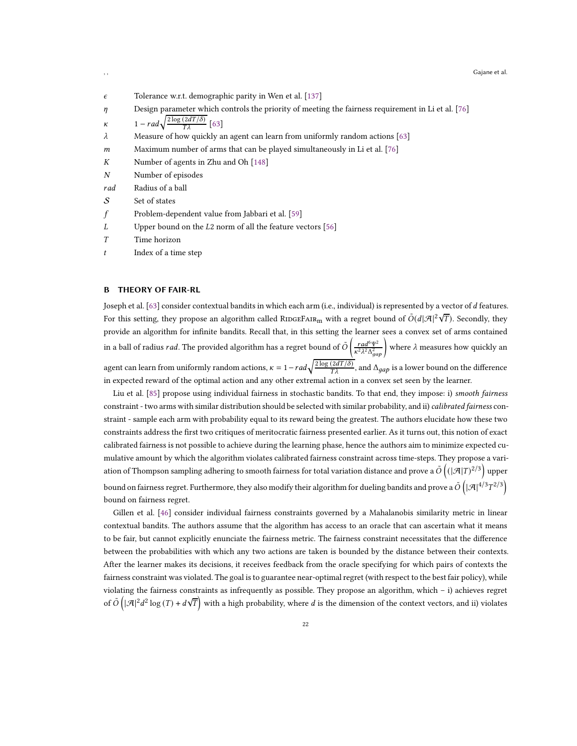, , Gajane et al.

- $\epsilon$  Tolerance w.r.t. demographic parity in Wen et al. [\[137\]](#page-20-7)
- $\eta$  Design parameter which controls the priority of meeting the fairness requirement in Li et al. [\[76\]](#page-17-10)

```
\kappa 1 - rad\sqrt{\frac{2\log(2dT/\delta)}{T\lambda}} [63]
```
- $\lambda$  Measure of how quickly an agent can learn from uniformly random actions [63]
- $m$  Maximum number of arms that can be played simultaneously in Li et al. [\[76](#page-17-10)]
- $K$  Number of agents in Zhu and Oh [\[148\]](#page-20-5)
- N Number of episodes
- rad Radius of a ball
- $S$  Set of states
- $f$  Problem-dependent value from Jabbari et al. [\[59\]](#page-17-9)
- $L$  Upper bound on the  $L2$  norm of all the feature vectors [56]
- T Time horizon
- $t$  Index of a time step

# <span id="page-21-0"></span>B THEORY OF FAIR-RL

Joseph et al. [63] consider contextual bandits in which each arm (i.e., individual) is represented by a vector of d features. For this setting, they propose an algorithm called RIDGEFAIR<sub>m</sub> with a regret bound of  $\tilde{O}(d|\mathcal{A}|^2\sqrt{T})$ . Secondly, they provide an algorithm for infinite bandits. Recall that, in this setting the learner sees a convex set of arms contained in a ball of radius *rad*. The provided algorithm has a regret bound of  $\tilde{O}\left(\frac{rad^6\Psi^2}{\kappa^2\hbar^2\hbar^2}\right)$  $\frac{rad^6\Psi^2}{\kappa^2\lambda^2\Delta_{gap}^2}$  where  $\lambda$  measures how quickly an agent can learn from uniformly random actions,  $\kappa = 1-rad\sqrt{\frac{2\log{(2dT/\delta)}}{T\lambda}}$ , and  $\Delta_{gap}$  is a lower bound on the difference in expected reward of the optimal action and any other extremal action in a convex set seen by the learner.

Liu et al. [\[85\]](#page-18-9) propose using individual fairness in stochastic bandits. To that end, they impose: i) smooth fairness constraint - two arms with similar distribution should be selected with similar probability, and ii) calibrated fairness constraint - sample each arm with probability equal to its reward being the greatest. The authors elucidate how these two constraints address the first two critiques of meritocratic fairness presented earlier. As it turns out, this notion of exact calibrated fairness is not possible to achieve during the learning phase, hence the authors aim to minimize expected cumulative amount by which the algorithm violates calibrated fairness constraint across time-steps. They propose a variation of Thompson sampling adhering to smooth fairness for total variation distance and prove a  $\tilde{O}\left((|\mathcal{A}|T)^{2/3}\right)$  upper bound on fairness regret. Furthermore, they also modify their algorithm for dueling bandits and prove a  $\tilde{O}\left(|\mathcal{A}|^{4/3}T^{2/3}\right)$ bound on fairness regret.

Gillen et al. [46] consider individual fairness constraints governed by a Mahalanobis similarity metric in linear contextual bandits. The authors assume that the algorithm has access to an oracle that can ascertain what it means to be fair, but cannot explicitly enunciate the fairness metric. The fairness constraint necessitates that the difference between the probabilities with which any two actions are taken is bounded by the distance between their contexts. After the learner makes its decisions, it receives feedback from the oracle specifying for which pairs of contexts the fairness constraint was violated. The goal is to guarantee near-optimal regret (with respect to the best fair policy), while violating the fairness constraints as infrequently as possible. They propose an algorithm, which – i) achieves regret of  $\tilde{O}(\vert\mathcal{A}\vert^2d^2\log(T)+d\sqrt{T}\right)$  with a high probability, where  $d$  is the dimension of the context vectors, and ii) violates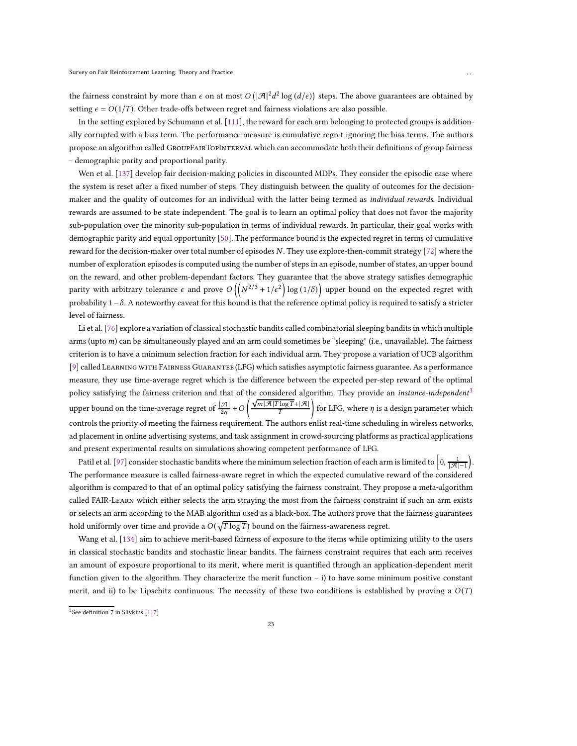the fairness constraint by more than  $\epsilon$  on at most  $O(|\mathcal{A}|^2d^2\log{(d/\epsilon)})$  steps. The above guarantees are obtained by setting  $\epsilon = O(1/T)$ . Other trade-offs between regret and fairness violations are also possible.

In the setting explored by Schumann et al. [111], the reward for each arm belonging to protected groups is additionally corrupted with a bias term. The performance measure is cumulative regret ignoring the bias terms. The authors propose an algorithm called GroupFairTopInterval which can accommodate both their definitions of group fairness – demographic parity and proportional parity.

Wen et al. [\[137](#page-20-7)] develop fair decision-making policies in discounted MDPs. They consider the episodic case where the system is reset after a fixed number of steps. They distinguish between the quality of outcomes for the decisionmaker and the quality of outcomes for an individual with the latter being termed as *individual rewards*. Individual rewards are assumed to be state independent. The goal is to learn an optimal policy that does not favor the majority sub-population over the minority sub-population in terms of individual rewards. In particular, their goal works with demographic parity and equal opportunity [\[50\]](#page-17-5). The performance bound is the expected regret in terms of cumulative reward for the decision-maker over total number of episodes N. They use explore-then-commit strategy [\[72\]](#page-17-22) where the number of exploration episodes is computed using the number of steps in an episode, number of states, an upper bound on the reward, and other problem-dependant factors. They guarantee that the above strategy satisfies demographic parity with arbitrary tolerance  $\epsilon$  and prove  $O\left(\left(N^{2/3}+1/\epsilon^2\right)\log{(1/\delta)}\right)$  upper bound on the expected regret with probability  $1-\delta$ . A noteworthy caveat for this bound is that the reference optimal policy is required to satisfy a stricter level of fairness.

Li et al. [\[76](#page-17-10)] explore a variation of classical stochastic bandits called combinatorial sleeping bandits in which multiple arms (upto  $m$ ) can be simultaneously played and an arm could sometimes be "sleeping" (i.e., unavailable). The fairness criterion is to have a minimum selection fraction for each individual arm. They propose a variation of UCB algorithm [\[9\]](#page-15-15) called Learning with Fairness Guarantee (LFG) which satisfies asymptotic fairness guarantee. As a performance measure, they use time-average regret which is the difference between the expected per-step reward of the optimal policy satisfying the fairness criterion and that of the considered algorithm. They provide an instance-independent<sup>[3](#page-22-0)</sup> upper bound on the time-average regret of  $\frac{|\mathcal{A}|}{2\eta}$  + O  $\left( \frac{\sqrt{m |\mathcal{A}| T \log T} + |\mathcal{A}|}{T} \right)$ for LFG, where  $\eta$  is a design parameter which controls the priority of meeting the fairness requirement. The authors enlist real-time scheduling in wireless networks, ad placement in online advertising systems, and task assignment in crowd-sourcing platforms as practical applications and present experimental results on simulations showing competent performance of LFG.

Patil et al. [\[97\]](#page-18-10) consider stochastic bandits where the minimum selection fraction of each arm is limited to  $\left[0,\frac{1}{|\mathcal{A}|-1}\right]$  . The performance measure is called fairness-aware regret in which the expected cumulative reward of the considered algorithm is compared to that of an optimal policy satisfying the fairness constraint. They propose a meta-algorithm called FAIR-Learn which either selects the arm straying the most from the fairness constraint if such an arm exists or selects an arm according to the MAB algorithm used as a black-box. The authors prove that the fairness guarantees hold uniformly over time and provide a  $O(\sqrt{T \log T})$  bound on the fairness-awareness regret.

Wang et al. [\[134\]](#page-20-8) aim to achieve merit-based fairness of exposure to the items while optimizing utility to the users in classical stochastic bandits and stochastic linear bandits. The fairness constraint requires that each arm receives an amount of exposure proportional to its merit, where merit is quantified through an application-dependent merit function given to the algorithm. They characterize the merit function – i) to have some minimum positive constant merit, and ii) to be Lipschitz continuous. The necessity of these two conditions is established by proving a  $O(T)$ 

<span id="page-22-0"></span><sup>3</sup> See definition 7 in Slivkins [\[117](#page-19-20)]